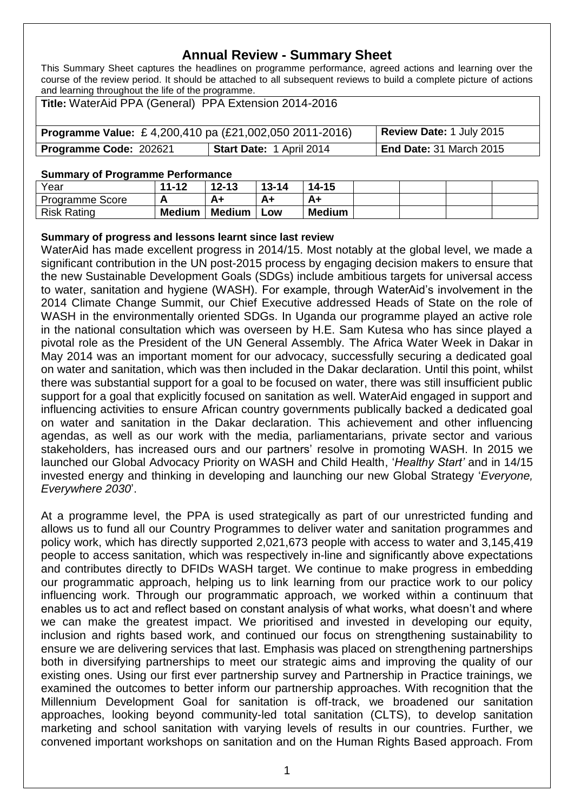# **Annual Review - Summary Sheet**

This Summary Sheet captures the headlines on programme performance, agreed actions and learning over the course of the review period. It should be attached to all subsequent reviews to build a complete picture of actions and learning throughout the life of the programme.

| Title: WaterAid PPA (General) PPA Extension 2014-2016                                     |                          |                                |  |
|-------------------------------------------------------------------------------------------|--------------------------|--------------------------------|--|
| Review Date: 1 July 2015<br><b>Programme Value:</b> £4,200,410 pa (£21,002,050 2011-2016) |                          |                                |  |
| Programme Code: 202621                                                                    | Start Date: 1 April 2014 | <b>End Date: 31 March 2015</b> |  |

#### **Summary of Programme Performance**

| Year                   | $11 - 12$     | $12 - 13$     | $13 - 14$ | $14 - 15$     |  |  |
|------------------------|---------------|---------------|-----------|---------------|--|--|
| <b>Programme Score</b> | n             |               | A+        | A+            |  |  |
| <b>Risk Rating</b>     | <b>Medium</b> | <b>Medium</b> | LOW       | <b>Medium</b> |  |  |

## **Summary of progress and lessons learnt since last review**

WaterAid has made excellent progress in 2014/15. Most notably at the global level, we made a significant contribution in the UN post-2015 process by engaging decision makers to ensure that the new Sustainable Development Goals (SDGs) include ambitious targets for universal access to water, sanitation and hygiene (WASH). For example, through WaterAid's involvement in the 2014 Climate Change Summit, our Chief Executive addressed Heads of State on the role of WASH in the environmentally oriented SDGs. In Uganda our programme played an active role in the national consultation which was overseen by H.E. Sam Kutesa who has since played a pivotal role as the President of the UN General Assembly. The Africa Water Week in Dakar in May 2014 was an important moment for our advocacy, successfully securing a dedicated goal on water and sanitation, which was then included in the Dakar declaration. Until this point, whilst there was substantial support for a goal to be focused on water, there was still insufficient public support for a goal that explicitly focused on sanitation as well. WaterAid engaged in support and influencing activities to ensure African country governments publically backed a dedicated goal on water and sanitation in the Dakar declaration. This achievement and other influencing agendas, as well as our work with the media, parliamentarians, private sector and various stakeholders, has increased ours and our partners' resolve in promoting WASH. In 2015 we launched our Global Advocacy Priority on WASH and Child Health, '*Healthy Start'* and in 14/15 invested energy and thinking in developing and launching our new Global Strategy '*Everyone, Everywhere 2030*'.

At a programme level, the PPA is used strategically as part of our unrestricted funding and allows us to fund all our Country Programmes to deliver water and sanitation programmes and policy work, which has directly supported 2,021,673 people with access to water and 3,145,419 people to access sanitation, which was respectively in-line and significantly above expectations and contributes directly to DFIDs WASH target. We continue to make progress in embedding our programmatic approach, helping us to link learning from our practice work to our policy influencing work. Through our programmatic approach, we worked within a continuum that enables us to act and reflect based on constant analysis of what works, what doesn't and where we can make the greatest impact. We prioritised and invested in developing our equity, inclusion and rights based work, and continued our focus on strengthening sustainability to ensure we are delivering services that last. Emphasis was placed on strengthening partnerships both in diversifying partnerships to meet our strategic aims and improving the quality of our existing ones. Using our first ever partnership survey and Partnership in Practice trainings, we examined the outcomes to better inform our partnership approaches. With recognition that the Millennium Development Goal for sanitation is off-track, we broadened our sanitation approaches, looking beyond community-led total sanitation (CLTS), to develop sanitation marketing and school sanitation with varying levels of results in our countries. Further, we convened important workshops on sanitation and on the Human Rights Based approach. From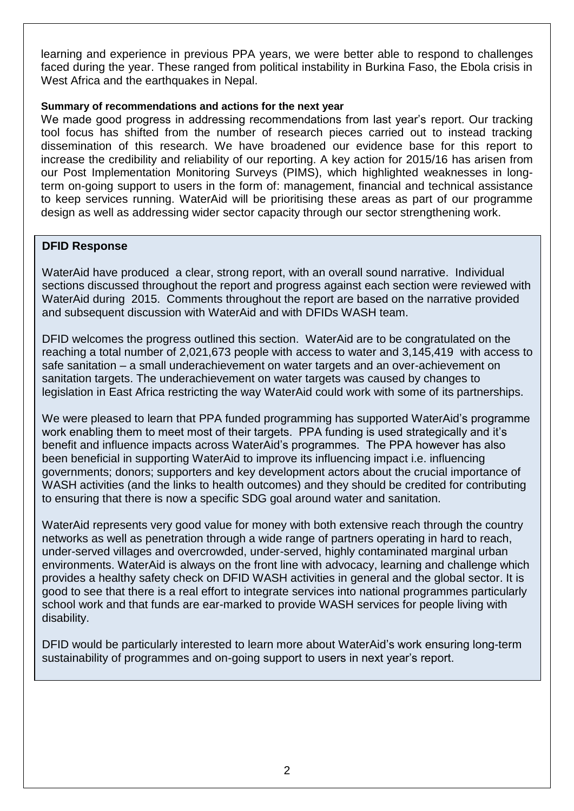learning and experience in previous PPA years, we were better able to respond to challenges faced during the year. These ranged from political instability in Burkina Faso, the Ebola crisis in West Africa and the earthquakes in Nepal.

## **Summary of recommendations and actions for the next year**

We made good progress in addressing recommendations from last year's report. Our tracking tool focus has shifted from the number of research pieces carried out to instead tracking dissemination of this research. We have broadened our evidence base for this report to increase the credibility and reliability of our reporting. A key action for 2015/16 has arisen from our Post Implementation Monitoring Surveys (PIMS), which highlighted weaknesses in longterm on-going support to users in the form of: management, financial and technical assistance to keep services running. WaterAid will be prioritising these areas as part of our programme design as well as addressing wider sector capacity through our sector strengthening work.

## **DFID Response**

WaterAid have produced a clear, strong report, with an overall sound narrative. Individual sections discussed throughout the report and progress against each section were reviewed with WaterAid during 2015. Comments throughout the report are based on the narrative provided and subsequent discussion with WaterAid and with DFIDs WASH team.

DFID welcomes the progress outlined this section. WaterAid are to be congratulated on the reaching a total number of 2,021,673 people with access to water and 3,145,419 with access to safe sanitation – a small underachievement on water targets and an over-achievement on sanitation targets. The underachievement on water targets was caused by changes to legislation in East Africa restricting the way WaterAid could work with some of its partnerships.

We were pleased to learn that PPA funded programming has supported WaterAid's programme work enabling them to meet most of their targets. PPA funding is used strategically and it's benefit and influence impacts across WaterAid's programmes. The PPA however has also been beneficial in supporting WaterAid to improve its influencing impact i.e. influencing governments; donors; supporters and key development actors about the crucial importance of WASH activities (and the links to health outcomes) and they should be credited for contributing to ensuring that there is now a specific SDG goal around water and sanitation.

WaterAid represents very good value for money with both extensive reach through the country networks as well as penetration through a wide range of partners operating in hard to reach, under-served villages and overcrowded, under-served, highly contaminated marginal urban environments. WaterAid is always on the front line with advocacy, learning and challenge which provides a healthy safety check on DFID WASH activities in general and the global sector. It is good to see that there is a real effort to integrate services into national programmes particularly school work and that funds are ear-marked to provide WASH services for people living with disability.

DFID would be particularly interested to learn more about WaterAid's work ensuring long-term sustainability of programmes and on-going support to users in next year's report.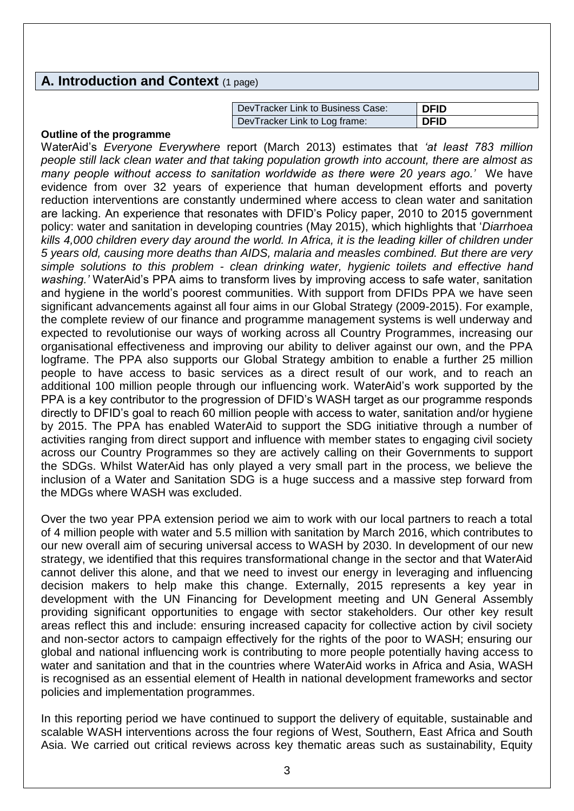## **A. Introduction and Context** (1 page)

| l DevTracker Link to Business Case: | DFID |
|-------------------------------------|------|
| DevTracker Link to Log frame:       | DFID |

#### **Outline of the programme**

WaterAid's *Everyone Everywhere* report (March 2013) estimates that *'at least 783 million people still lack clean water and that taking population growth into account, there are almost as many people without access to sanitation worldwide as there were 20 years ago.'* We have evidence from over 32 years of experience that human development efforts and poverty reduction interventions are constantly undermined where access to clean water and sanitation are lacking. An experience that resonates with DFID's Policy paper, 2010 to 2015 government policy: water and sanitation in developing countries (May 2015), which highlights that '*Diarrhoea kills 4,000 children every day around the world. In Africa, it is the leading killer of children under 5 years old, causing more deaths than AIDS, malaria and measles combined. But there are very simple solutions to this problem - clean drinking water, hygienic toilets and effective hand washing.'* WaterAid's PPA aims to transform lives by improving access to safe water, sanitation and hygiene in the world's poorest communities. With support from DFIDs PPA we have seen significant advancements against all four aims in our Global Strategy (2009-2015). For example, the complete review of our finance and programme management systems is well underway and expected to revolutionise our ways of working across all Country Programmes, increasing our organisational effectiveness and improving our ability to deliver against our own, and the PPA logframe. The PPA also supports our Global Strategy ambition to enable a further 25 million people to have access to basic services as a direct result of our work, and to reach an additional 100 million people through our influencing work. WaterAid's work supported by the PPA is a key contributor to the progression of DFID's WASH target as our programme responds directly to DFID's goal to reach 60 million people with access to water, sanitation and/or hygiene by 2015. The PPA has enabled WaterAid to support the SDG initiative through a number of activities ranging from direct support and influence with member states to engaging civil society across our Country Programmes so they are actively calling on their Governments to support the SDGs. Whilst WaterAid has only played a very small part in the process, we believe the inclusion of a Water and Sanitation SDG is a huge success and a massive step forward from the MDGs where WASH was excluded.

Over the two year PPA extension period we aim to work with our local partners to reach a total of 4 million people with water and 5.5 million with sanitation by March 2016, which contributes to our new overall aim of securing universal access to WASH by 2030. In development of our new strategy, we identified that this requires transformational change in the sector and that WaterAid cannot deliver this alone, and that we need to invest our energy in leveraging and influencing decision makers to help make this change. Externally, 2015 represents a key year in development with the UN Financing for Development meeting and UN General Assembly providing significant opportunities to engage with sector stakeholders. Our other key result areas reflect this and include: ensuring increased capacity for collective action by civil society and non-sector actors to campaign effectively for the rights of the poor to WASH; ensuring our global and national influencing work is contributing to more people potentially having access to water and sanitation and that in the countries where WaterAid works in Africa and Asia, WASH is recognised as an essential element of Health in national development frameworks and sector policies and implementation programmes.

In this reporting period we have continued to support the delivery of equitable, sustainable and scalable WASH interventions across the four regions of West, Southern, East Africa and South Asia. We carried out critical reviews across key thematic areas such as sustainability, Equity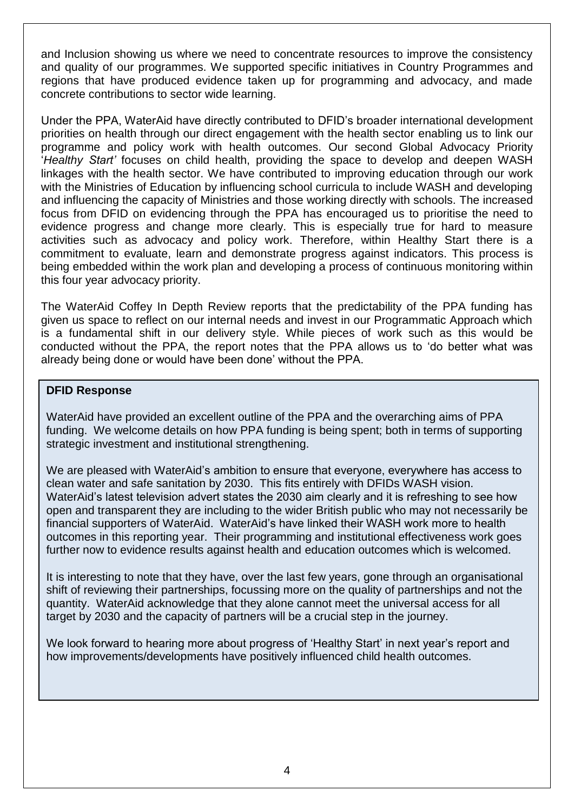and Inclusion showing us where we need to concentrate resources to improve the consistency and quality of our programmes. We supported specific initiatives in Country Programmes and regions that have produced evidence taken up for programming and advocacy, and made concrete contributions to sector wide learning.

Under the PPA, WaterAid have directly contributed to DFID's broader international development priorities on health through our direct engagement with the health sector enabling us to link our programme and policy work with health outcomes. Our second Global Advocacy Priority '*Healthy Start'* focuses on child health, providing the space to develop and deepen WASH linkages with the health sector. We have contributed to improving education through our work with the Ministries of Education by influencing school curricula to include WASH and developing and influencing the capacity of Ministries and those working directly with schools. The increased focus from DFID on evidencing through the PPA has encouraged us to prioritise the need to evidence progress and change more clearly. This is especially true for hard to measure activities such as advocacy and policy work. Therefore, within Healthy Start there is a commitment to evaluate, learn and demonstrate progress against indicators. This process is being embedded within the work plan and developing a process of continuous monitoring within this four year advocacy priority.

The WaterAid Coffey In Depth Review reports that the predictability of the PPA funding has given us space to reflect on our internal needs and invest in our Programmatic Approach which is a fundamental shift in our delivery style. While pieces of work such as this would be conducted without the PPA, the report notes that the PPA allows us to 'do better what was already being done or would have been done' without the PPA.

## **DFID Response**

WaterAid have provided an excellent outline of the PPA and the overarching aims of PPA funding. We welcome details on how PPA funding is being spent; both in terms of supporting strategic investment and institutional strengthening.

We are pleased with WaterAid's ambition to ensure that everyone, everywhere has access to clean water and safe sanitation by 2030. This fits entirely with DFIDs WASH vision. WaterAid's latest television advert states the 2030 aim clearly and it is refreshing to see how open and transparent they are including to the wider British public who may not necessarily be financial supporters of WaterAid. WaterAid's have linked their WASH work more to health outcomes in this reporting year. Their programming and institutional effectiveness work goes further now to evidence results against health and education outcomes which is welcomed.

It is interesting to note that they have, over the last few years, gone through an organisational shift of reviewing their partnerships, focussing more on the quality of partnerships and not the quantity. WaterAid acknowledge that they alone cannot meet the universal access for all target by 2030 and the capacity of partners will be a crucial step in the journey.

We look forward to hearing more about progress of 'Healthy Start' in next year's report and how improvements/developments have positively influenced child health outcomes.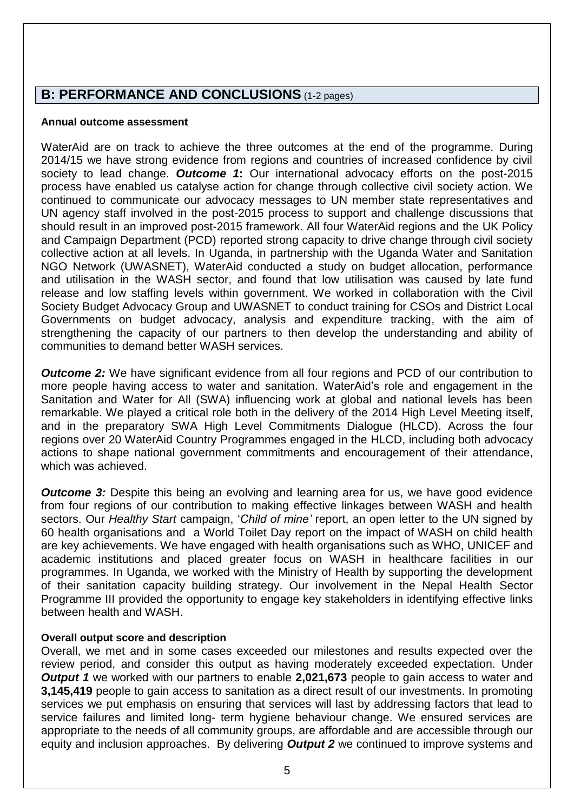# **B: PERFORMANCE AND CONCLUSIONS** (1-2 pages)

#### **Annual outcome assessment**

WaterAid are on track to achieve the three outcomes at the end of the programme. During 2014/15 we have strong evidence from regions and countries of increased confidence by civil society to lead change. *Outcome 1***:** Our international advocacy efforts on the post-2015 process have enabled us catalyse action for change through collective civil society action. We continued to communicate our advocacy messages to UN member state representatives and UN agency staff involved in the post-2015 process to support and challenge discussions that should result in an improved post-2015 framework. All four WaterAid regions and the UK Policy and Campaign Department (PCD) reported strong capacity to drive change through civil society collective action at all levels. In Uganda, in partnership with the Uganda Water and Sanitation NGO Network (UWASNET), WaterAid conducted a study on budget allocation, performance and utilisation in the WASH sector, and found that low utilisation was caused by late fund release and low staffing levels within government. We worked in collaboration with the Civil Society Budget Advocacy Group and UWASNET to conduct training for CSOs and District Local Governments on budget advocacy, analysis and expenditure tracking, with the aim of strengthening the capacity of our partners to then develop the understanding and ability of communities to demand better WASH services.

*Outcome 2:* We have significant evidence from all four regions and PCD of our contribution to more people having access to water and sanitation. WaterAid's role and engagement in the Sanitation and Water for All (SWA) influencing work at global and national levels has been remarkable. We played a critical role both in the delivery of the 2014 High Level Meeting itself, and in the preparatory SWA High Level Commitments Dialogue (HLCD). Across the four regions over 20 WaterAid Country Programmes engaged in the HLCD, including both advocacy actions to shape national government commitments and encouragement of their attendance, which was achieved.

*Outcome 3:* Despite this being an evolving and learning area for us, we have good evidence from four regions of our contribution to making effective linkages between WASH and health sectors. Our *Healthy Start* campaign, '*Child of mine'* report, an open letter to the UN signed by 60 health organisations and a World Toilet Day report on the impact of WASH on child health are key achievements. We have engaged with health organisations such as WHO, UNICEF and academic institutions and placed greater focus on WASH in healthcare facilities in our programmes. In Uganda, we worked with the Ministry of Health by supporting the development of their sanitation capacity building strategy. Our involvement in the Nepal Health Sector Programme III provided the opportunity to engage key stakeholders in identifying effective links between health and WASH.

## **Overall output score and description**

Overall, we met and in some cases exceeded our milestones and results expected over the review period, and consider this output as having moderately exceeded expectation. Under *Output 1* we worked with our partners to enable **2,021,673** people to gain access to water and **3,145,419** people to gain access to sanitation as a direct result of our investments. In promoting services we put emphasis on ensuring that services will last by addressing factors that lead to service failures and limited long- term hygiene behaviour change. We ensured services are appropriate to the needs of all community groups, are affordable and are accessible through our equity and inclusion approaches. By delivering *Output 2* we continued to improve systems and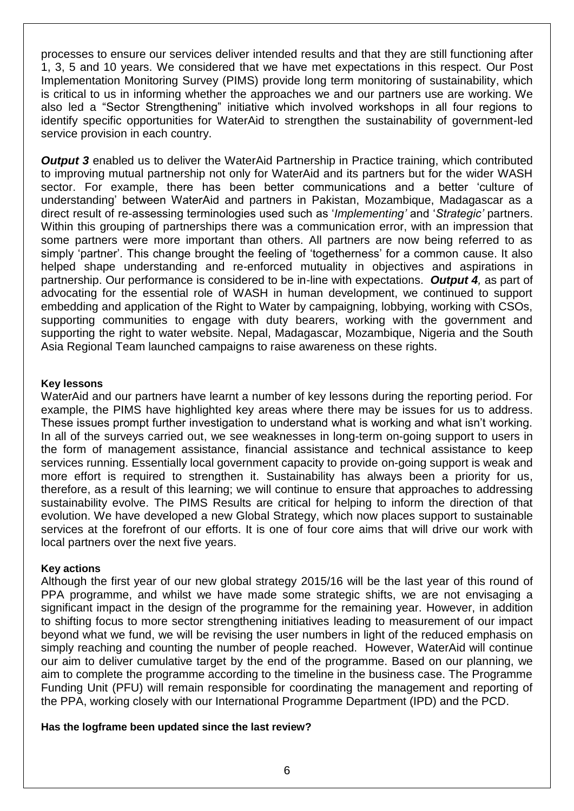processes to ensure our services deliver intended results and that they are still functioning after 1, 3, 5 and 10 years. We considered that we have met expectations in this respect. Our Post Implementation Monitoring Survey (PIMS) provide long term monitoring of sustainability, which is critical to us in informing whether the approaches we and our partners use are working. We also led a "Sector Strengthening" initiative which involved workshops in all four regions to identify specific opportunities for WaterAid to strengthen the sustainability of government-led service provision in each country.

**Output 3** enabled us to deliver the WaterAid Partnership in Practice training, which contributed to improving mutual partnership not only for WaterAid and its partners but for the wider WASH sector. For example, there has been better communications and a better 'culture of understanding' between WaterAid and partners in Pakistan, Mozambique, Madagascar as a direct result of re-assessing terminologies used such as '*Implementing'* and '*Strategic'* partners. Within this grouping of partnerships there was a communication error, with an impression that some partners were more important than others. All partners are now being referred to as simply 'partner'. This change brought the feeling of 'togetherness' for a common cause. It also helped shape understanding and re-enforced mutuality in objectives and aspirations in partnership. Our performance is considered to be in-line with expectations. *Output 4,* as part of advocating for the essential role of WASH in human development, we continued to support embedding and application of the Right to Water by campaigning, lobbying, working with CSOs, supporting communities to engage with duty bearers, working with the government and supporting the right to water website. Nepal, Madagascar, Mozambique, Nigeria and the South Asia Regional Team launched campaigns to raise awareness on these rights.

## **Key lessons**

WaterAid and our partners have learnt a number of key lessons during the reporting period. For example, the PIMS have highlighted key areas where there may be issues for us to address. These issues prompt further investigation to understand what is working and what isn't working. In all of the surveys carried out, we see weaknesses in long-term on-going support to users in the form of management assistance, financial assistance and technical assistance to keep services running. Essentially local government capacity to provide on-going support is weak and more effort is required to strengthen it. Sustainability has always been a priority for us, therefore, as a result of this learning; we will continue to ensure that approaches to addressing sustainability evolve. The PIMS Results are critical for helping to inform the direction of that evolution. We have developed a new Global Strategy, which now places support to sustainable services at the forefront of our efforts. It is one of four core aims that will drive our work with local partners over the next five years.

## **Key actions**

Although the first year of our new global strategy 2015/16 will be the last year of this round of PPA programme, and whilst we have made some strategic shifts, we are not envisaging a significant impact in the design of the programme for the remaining year. However, in addition to shifting focus to more sector strengthening initiatives leading to measurement of our impact beyond what we fund, we will be revising the user numbers in light of the reduced emphasis on simply reaching and counting the number of people reached. However, WaterAid will continue our aim to deliver cumulative target by the end of the programme. Based on our planning, we aim to complete the programme according to the timeline in the business case. The Programme Funding Unit (PFU) will remain responsible for coordinating the management and reporting of the PPA, working closely with our International Programme Department (IPD) and the PCD.

## **Has the logframe been updated since the last review?**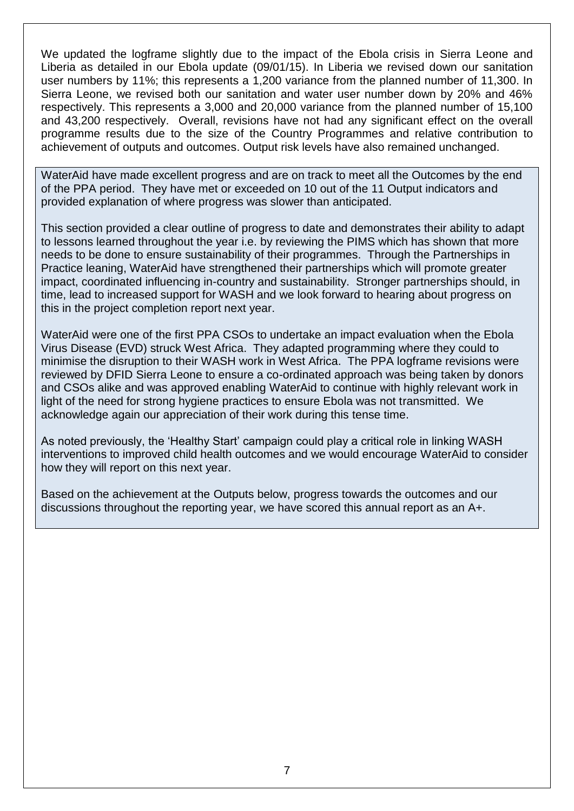We updated the logframe slightly due to the impact of the Ebola crisis in Sierra Leone and Liberia as detailed in our Ebola update (09/01/15). In Liberia we revised down our sanitation user numbers by 11%; this represents a 1,200 variance from the planned number of 11,300. In Sierra Leone, we revised both our sanitation and water user number down by 20% and 46% respectively. This represents a 3,000 and 20,000 variance from the planned number of 15,100 and 43,200 respectively. Overall, revisions have not had any significant effect on the overall programme results due to the size of the Country Programmes and relative contribution to achievement of outputs and outcomes. Output risk levels have also remained unchanged.

WaterAid have made excellent progress and are on track to meet all the Outcomes by the end of the PPA period. They have met or exceeded on 10 out of the 11 Output indicators and provided explanation of where progress was slower than anticipated.

This section provided a clear outline of progress to date and demonstrates their ability to adapt to lessons learned throughout the year i.e. by reviewing the PIMS which has shown that more needs to be done to ensure sustainability of their programmes. Through the Partnerships in Practice leaning, WaterAid have strengthened their partnerships which will promote greater impact, coordinated influencing in-country and sustainability. Stronger partnerships should, in time, lead to increased support for WASH and we look forward to hearing about progress on this in the project completion report next year.

WaterAid were one of the first PPA CSOs to undertake an impact evaluation when the Ebola Virus Disease (EVD) struck West Africa. They adapted programming where they could to minimise the disruption to their WASH work in West Africa. The PPA logframe revisions were reviewed by DFID Sierra Leone to ensure a co-ordinated approach was being taken by donors and CSOs alike and was approved enabling WaterAid to continue with highly relevant work in light of the need for strong hygiene practices to ensure Ebola was not transmitted. We acknowledge again our appreciation of their work during this tense time.

As noted previously, the 'Healthy Start' campaign could play a critical role in linking WASH interventions to improved child health outcomes and we would encourage WaterAid to consider how they will report on this next year.

Based on the achievement at the Outputs below, progress towards the outcomes and our discussions throughout the reporting year, we have scored this annual report as an A+.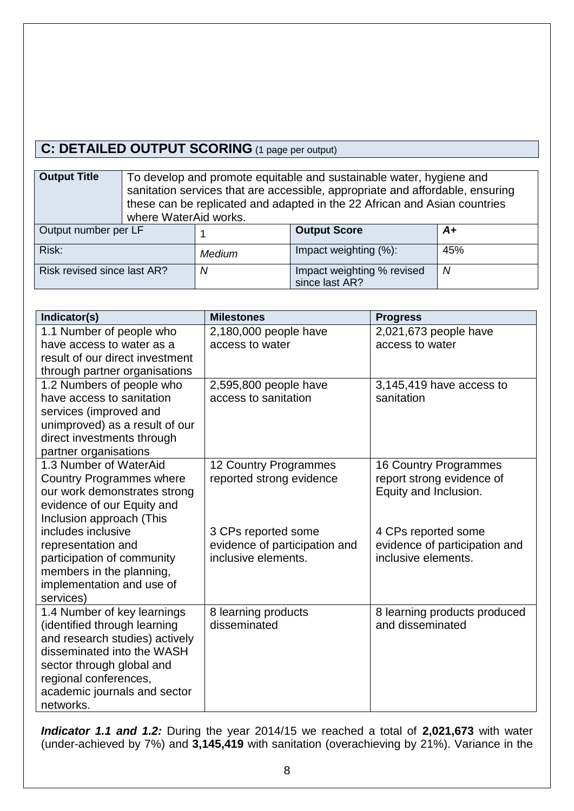# **C: DETAILED OUTPUT SCORING** (1 page per output)

**Output Title** To develop and promote equitable and sustainable water, hygiene and sanitation services that are accessible, appropriate and affordable, ensuring these can be replicated and adapted in the 22 African and Asian countries where WaterAid works.

| Output number per LF        |        | <b>Output Score</b>                          | A+  |
|-----------------------------|--------|----------------------------------------------|-----|
| Risk:                       | Medium | Impact weighting (%):                        | 45% |
| Risk revised since last AR? | N      | Impact weighting % revised<br>since last AR? | N   |

| Indicator(s)                                                    | <b>Milestones</b>             | <b>Progress</b>                                    |
|-----------------------------------------------------------------|-------------------------------|----------------------------------------------------|
| 1.1 Number of people who                                        | 2,180,000 people have         | 2,021,673 people have                              |
| have access to water as a                                       | access to water               | access to water                                    |
| result of our direct investment                                 |                               |                                                    |
| through partner organisations                                   |                               |                                                    |
| 1.2 Numbers of people who                                       | 2,595,800 people have         | 3,145,419 have access to                           |
| have access to sanitation                                       | access to sanitation          | sanitation                                         |
| services (improved and                                          |                               |                                                    |
| unimproved) as a result of our                                  |                               |                                                    |
| direct investments through                                      |                               |                                                    |
| partner organisations<br>1.3 Number of WaterAid                 |                               |                                                    |
|                                                                 | 12 Country Programmes         | <b>16 Country Programmes</b>                       |
| <b>Country Programmes where</b><br>our work demonstrates strong | reported strong evidence      | report strong evidence of<br>Equity and Inclusion. |
| evidence of our Equity and                                      |                               |                                                    |
| Inclusion approach (This                                        |                               |                                                    |
| includes inclusive                                              | 3 CPs reported some           | 4 CPs reported some                                |
| representation and                                              | evidence of participation and | evidence of participation and                      |
| participation of community                                      | inclusive elements.           | inclusive elements.                                |
| members in the planning,                                        |                               |                                                    |
| implementation and use of                                       |                               |                                                    |
| services)                                                       |                               |                                                    |
| 1.4 Number of key learnings                                     | 8 learning products           | 8 learning products produced                       |
| (identified through learning                                    | disseminated                  | and disseminated                                   |
| and research studies) actively                                  |                               |                                                    |
| disseminated into the WASH                                      |                               |                                                    |
| sector through global and                                       |                               |                                                    |
| regional conferences,                                           |                               |                                                    |
| academic journals and sector                                    |                               |                                                    |
| networks.                                                       |                               |                                                    |

*Indicator 1.1 and 1.2:* During the year 2014/15 we reached a total of **2,021,673** with water (under-achieved by 7%) and **3,145,419** with sanitation (overachieving by 21%). Variance in the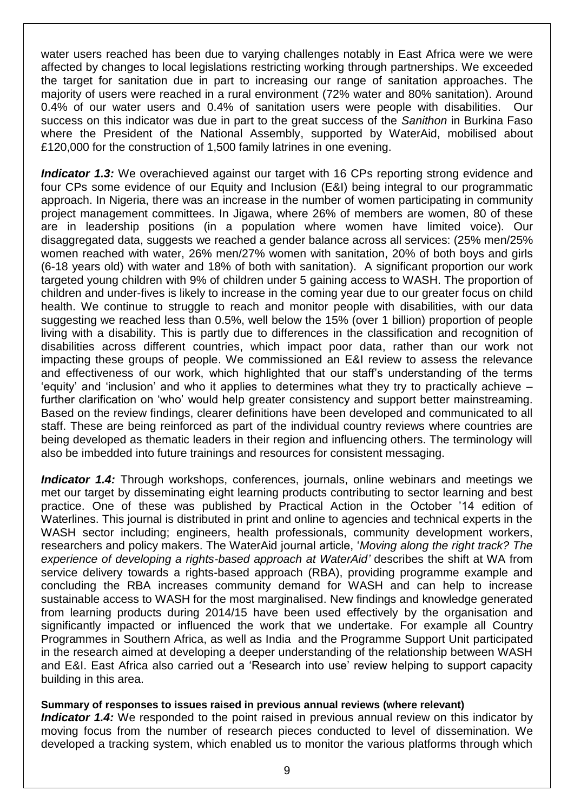water users reached has been due to varying challenges notably in East Africa were we were affected by changes to local legislations restricting working through partnerships. We exceeded the target for sanitation due in part to increasing our range of sanitation approaches. The majority of users were reached in a rural environment (72% water and 80% sanitation). Around 0.4% of our water users and 0.4% of sanitation users were people with disabilities. Our success on this indicator was due in part to the great success of the *Sanithon* in Burkina Faso where the President of the National Assembly, supported by WaterAid, mobilised about £120,000 for the construction of 1,500 family latrines in one evening.

**Indicator 1.3:** We overachieved against our target with 16 CPs reporting strong evidence and four CPs some evidence of our Equity and Inclusion (E&I) being integral to our programmatic approach. In Nigeria, there was an increase in the number of women participating in community project management committees. In Jigawa, where 26% of members are women, 80 of these are in leadership positions (in a population where women have limited voice). Our disaggregated data, suggests we reached a gender balance across all services: (25% men/25% women reached with water, 26% men/27% women with sanitation, 20% of both boys and girls (6-18 years old) with water and 18% of both with sanitation). A significant proportion our work targeted young children with 9% of children under 5 gaining access to WASH. The proportion of children and under-fives is likely to increase in the coming year due to our greater focus on child health. We continue to struggle to reach and monitor people with disabilities, with our data suggesting we reached less than 0.5%, well below the 15% (over 1 billion) proportion of people living with a disability. This is partly due to differences in the classification and recognition of disabilities across different countries, which impact poor data, rather than our work not impacting these groups of people. We commissioned an E&I review to assess the relevance and effectiveness of our work, which highlighted that our staff's understanding of the terms 'equity' and 'inclusion' and who it applies to determines what they try to practically achieve – further clarification on 'who' would help greater consistency and support better mainstreaming. Based on the review findings, clearer definitions have been developed and communicated to all staff. These are being reinforced as part of the individual country reviews where countries are being developed as thematic leaders in their region and influencing others. The terminology will also be imbedded into future trainings and resources for consistent messaging.

*Indicator 1.4:* Through workshops, conferences, journals, online webinars and meetings we met our target by disseminating eight learning products contributing to sector learning and best practice. One of these was published by Practical Action in the October '14 edition of Waterlines. This journal is distributed in print and online to agencies and technical experts in the WASH sector including; engineers, health professionals, community development workers, researchers and policy makers. The WaterAid journal article, '*Moving along the right track? The experience of developing a rights-based approach at WaterAid'* describes the shift at WA from service delivery towards a rights-based approach (RBA), providing programme example and concluding the RBA increases community demand for WASH and can help to increase sustainable access to WASH for the most marginalised. New findings and knowledge generated from learning products during 2014/15 have been used effectively by the organisation and significantly impacted or influenced the work that we undertake. For example all Country Programmes in Southern Africa, as well as India and the Programme Support Unit participated in the research aimed at developing a deeper understanding of the relationship between WASH and E&I. East Africa also carried out a 'Research into use' review helping to support capacity building in this area.

## **Summary of responses to issues raised in previous annual reviews (where relevant)**

**Indicator 1.4:** We responded to the point raised in previous annual review on this indicator by moving focus from the number of research pieces conducted to level of dissemination. We developed a tracking system, which enabled us to monitor the various platforms through which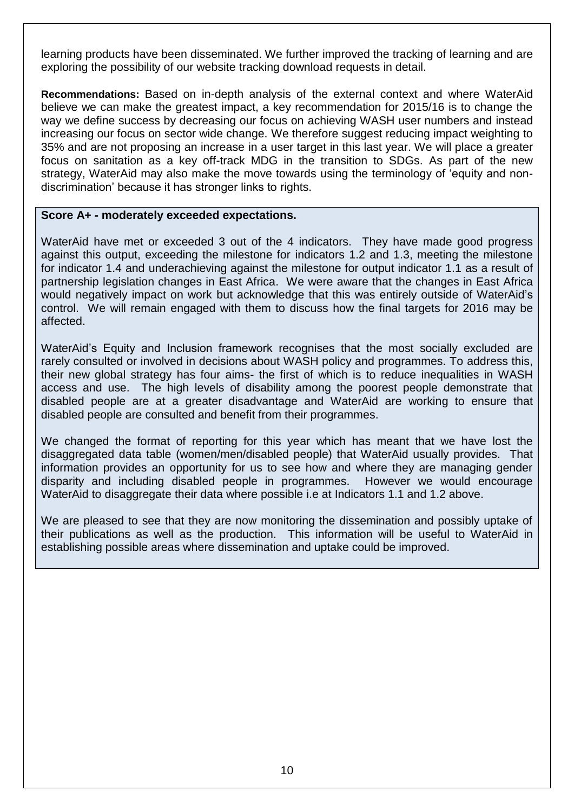learning products have been disseminated. We further improved the tracking of learning and are exploring the possibility of our website tracking download requests in detail.

**Recommendations:** Based on in-depth analysis of the external context and where WaterAid believe we can make the greatest impact, a key recommendation for 2015/16 is to change the way we define success by decreasing our focus on achieving WASH user numbers and instead increasing our focus on sector wide change. We therefore suggest reducing impact weighting to 35% and are not proposing an increase in a user target in this last year. We will place a greater focus on sanitation as a key off-track MDG in the transition to SDGs. As part of the new strategy, WaterAid may also make the move towards using the terminology of 'equity and nondiscrimination' because it has stronger links to rights.

## **Score A+ - moderately exceeded expectations.**

WaterAid have met or exceeded 3 out of the 4 indicators. They have made good progress against this output, exceeding the milestone for indicators 1.2 and 1.3, meeting the milestone for indicator 1.4 and underachieving against the milestone for output indicator 1.1 as a result of partnership legislation changes in East Africa. We were aware that the changes in East Africa would negatively impact on work but acknowledge that this was entirely outside of WaterAid's control. We will remain engaged with them to discuss how the final targets for 2016 may be affected.

WaterAid's Equity and Inclusion framework recognises that the most socially excluded are rarely consulted or involved in decisions about WASH policy and programmes. To address this, their new global strategy has four aims- the first of which is to reduce inequalities in WASH access and use. The high levels of disability among the poorest people demonstrate that disabled people are at a greater disadvantage and WaterAid are working to ensure that disabled people are consulted and benefit from their programmes.

We changed the format of reporting for this year which has meant that we have lost the disaggregated data table (women/men/disabled people) that WaterAid usually provides. That information provides an opportunity for us to see how and where they are managing gender disparity and including disabled people in programmes. However we would encourage WaterAid to disaggregate their data where possible i.e at Indicators 1.1 and 1.2 above.

We are pleased to see that they are now monitoring the dissemination and possibly uptake of their publications as well as the production. This information will be useful to WaterAid in establishing possible areas where dissemination and uptake could be improved.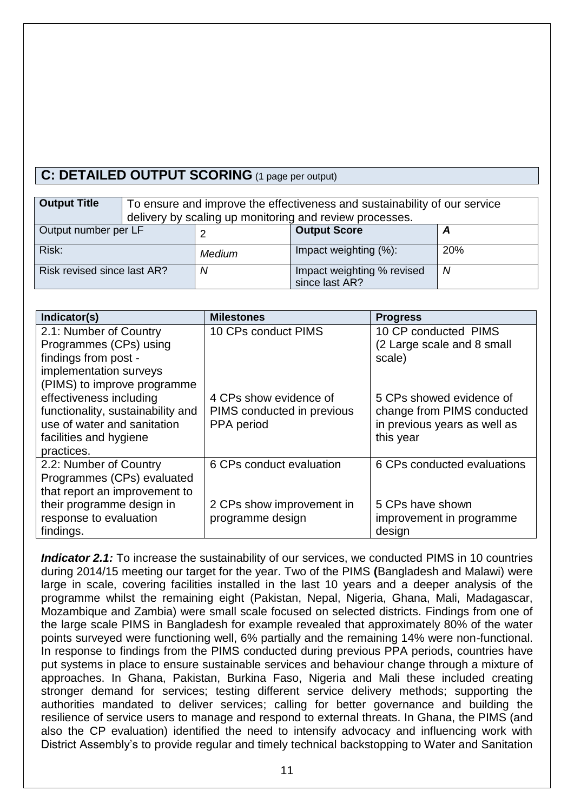# **C: DETAILED OUTPUT SCORING** (1 page per output)

| <b>Output Title</b>         | To ensure and improve the effectiveness and sustainability of our service<br>delivery by scaling up monitoring and review processes. |        |                                              |     |
|-----------------------------|--------------------------------------------------------------------------------------------------------------------------------------|--------|----------------------------------------------|-----|
| Output number per LF        | <b>Output Score</b><br>А                                                                                                             |        |                                              |     |
| Risk:                       |                                                                                                                                      | Medium | Impact weighting (%):                        | 20% |
| Risk revised since last AR? |                                                                                                                                      | N      | Impact weighting % revised<br>since last AR? | N   |

| Indicator(s)                      | <b>Milestones</b>          | <b>Progress</b>              |
|-----------------------------------|----------------------------|------------------------------|
| 2.1: Number of Country            | 10 CPs conduct PIMS        | 10 CP conducted PIMS         |
| Programmes (CPs) using            |                            | (2 Large scale and 8 small   |
| findings from post -              |                            | scale)                       |
| implementation surveys            |                            |                              |
| (PIMS) to improve programme       |                            |                              |
| effectiveness including           | 4 CPs show evidence of     | 5 CPs showed evidence of     |
| functionality, sustainability and | PIMS conducted in previous | change from PIMS conducted   |
| use of water and sanitation       | PPA period                 | in previous years as well as |
| facilities and hygiene            |                            | this year                    |
| practices.                        |                            |                              |
| 2.2: Number of Country            | 6 CPs conduct evaluation   | 6 CPs conducted evaluations  |
| Programmes (CPs) evaluated        |                            |                              |
| that report an improvement to     |                            |                              |
| their programme design in         | 2 CPs show improvement in  | 5 CPs have shown             |
| response to evaluation            | programme design           | improvement in programme     |
| findings.                         |                            | design                       |

*Indicator 2.1:* To increase the sustainability of our services, we conducted PIMS in 10 countries during 2014/15 meeting our target for the year. Two of the PIMS **(**Bangladesh and Malawi) were large in scale, covering facilities installed in the last 10 years and a deeper analysis of the programme whilst the remaining eight (Pakistan, Nepal, Nigeria, Ghana, Mali, Madagascar, Mozambique and Zambia) were small scale focused on selected districts. Findings from one of the large scale PIMS in Bangladesh for example revealed that approximately 80% of the water points surveyed were functioning well, 6% partially and the remaining 14% were non-functional. In response to findings from the PIMS conducted during previous PPA periods, countries have put systems in place to ensure sustainable services and behaviour change through a mixture of approaches. In Ghana, Pakistan, Burkina Faso, Nigeria and Mali these included creating stronger demand for services; testing different service delivery methods; supporting the authorities mandated to deliver services; calling for better governance and building the resilience of service users to manage and respond to external threats. In Ghana, the PIMS (and also the CP evaluation) identified the need to intensify advocacy and influencing work with District Assembly's to provide regular and timely technical backstopping to Water and Sanitation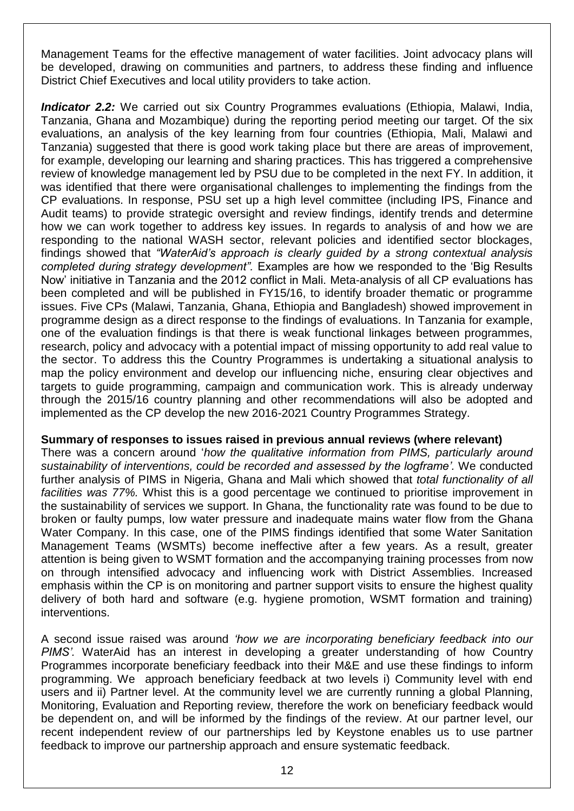Management Teams for the effective management of water facilities. Joint advocacy plans will be developed, drawing on communities and partners, to address these finding and influence District Chief Executives and local utility providers to take action.

*Indicator 2.2:* We carried out six Country Programmes evaluations (Ethiopia, Malawi, India, Tanzania, Ghana and Mozambique) during the reporting period meeting our target. Of the six evaluations, an analysis of the key learning from four countries (Ethiopia, Mali, Malawi and Tanzania) suggested that there is good work taking place but there are areas of improvement, for example, developing our learning and sharing practices. This has triggered a comprehensive review of knowledge management led by PSU due to be completed in the next FY. In addition, it was identified that there were organisational challenges to implementing the findings from the CP evaluations. In response, PSU set up a high level committee (including IPS, Finance and Audit teams) to provide strategic oversight and review findings, identify trends and determine how we can work together to address key issues. In regards to analysis of and how we are responding to the national WASH sector, relevant policies and identified sector blockages, findings showed that *"WaterAid's approach is clearly guided by a strong contextual analysis completed during strategy development".* Examples are how we responded to the 'Big Results Now' initiative in Tanzania and the 2012 conflict in Mali. Meta-analysis of all CP evaluations has been completed and will be published in FY15/16, to identify broader thematic or programme issues. Five CPs (Malawi, Tanzania, Ghana, Ethiopia and Bangladesh) showed improvement in programme design as a direct response to the findings of evaluations. In Tanzania for example, one of the evaluation findings is that there is weak functional linkages between programmes, research, policy and advocacy with a potential impact of missing opportunity to add real value to the sector. To address this the Country Programmes is undertaking a situational analysis to map the policy environment and develop our influencing niche, ensuring clear objectives and targets to guide programming, campaign and communication work. This is already underway through the 2015/16 country planning and other recommendations will also be adopted and implemented as the CP develop the new 2016-2021 Country Programmes Strategy.

## **Summary of responses to issues raised in previous annual reviews (where relevant)**

There was a concern around '*how the qualitative information from PIMS, particularly around sustainability of interventions, could be recorded and assessed by the logframe'.* We conducted further analysis of PIMS in Nigeria, Ghana and Mali which showed that *total functionality of all facilities was 77%.* Whist this is a good percentage we continued to prioritise improvement in the sustainability of services we support. In Ghana, the functionality rate was found to be due to broken or faulty pumps, low water pressure and inadequate mains water flow from the Ghana Water Company. In this case, one of the PIMS findings identified that some Water Sanitation Management Teams (WSMTs) become ineffective after a few years. As a result, greater attention is being given to WSMT formation and the accompanying training processes from now on through intensified advocacy and influencing work with District Assemblies. Increased emphasis within the CP is on monitoring and partner support visits to ensure the highest quality delivery of both hard and software (e.g. hygiene promotion, WSMT formation and training) interventions.

A second issue raised was around *'how we are incorporating beneficiary feedback into our PIMS'.* WaterAid has an interest in developing a greater understanding of how Country Programmes incorporate beneficiary feedback into their M&E and use these findings to inform programming. We approach beneficiary feedback at two levels i) Community level with end users and ii) Partner level. At the community level we are currently running a global Planning, Monitoring, Evaluation and Reporting review, therefore the work on beneficiary feedback would be dependent on, and will be informed by the findings of the review. At our partner level, our recent independent review of our partnerships led by Keystone enables us to use partner feedback to improve our partnership approach and ensure systematic feedback.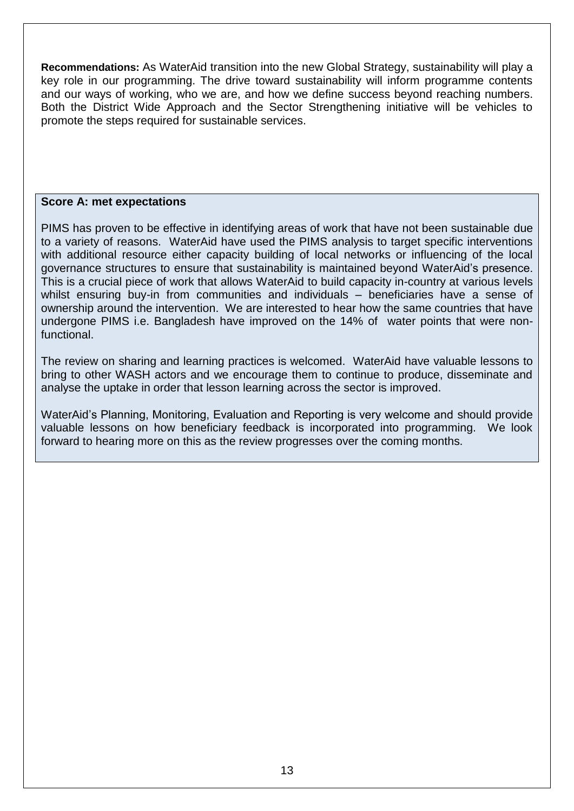**Recommendations:** As WaterAid transition into the new Global Strategy, sustainability will play a key role in our programming. The drive toward sustainability will inform programme contents and our ways of working, who we are, and how we define success beyond reaching numbers. Both the District Wide Approach and the Sector Strengthening initiative will be vehicles to promote the steps required for sustainable services.

### **Score A: met expectations**

PIMS has proven to be effective in identifying areas of work that have not been sustainable due to a variety of reasons. WaterAid have used the PIMS analysis to target specific interventions with additional resource either capacity building of local networks or influencing of the local governance structures to ensure that sustainability is maintained beyond WaterAid's presence. This is a crucial piece of work that allows WaterAid to build capacity in-country at various levels whilst ensuring buy-in from communities and individuals – beneficiaries have a sense of ownership around the intervention. We are interested to hear how the same countries that have undergone PIMS i.e. Bangladesh have improved on the 14% of water points that were nonfunctional.

The review on sharing and learning practices is welcomed. WaterAid have valuable lessons to bring to other WASH actors and we encourage them to continue to produce, disseminate and analyse the uptake in order that lesson learning across the sector is improved.

WaterAid's Planning, Monitoring, Evaluation and Reporting is very welcome and should provide valuable lessons on how beneficiary feedback is incorporated into programming. We look forward to hearing more on this as the review progresses over the coming months.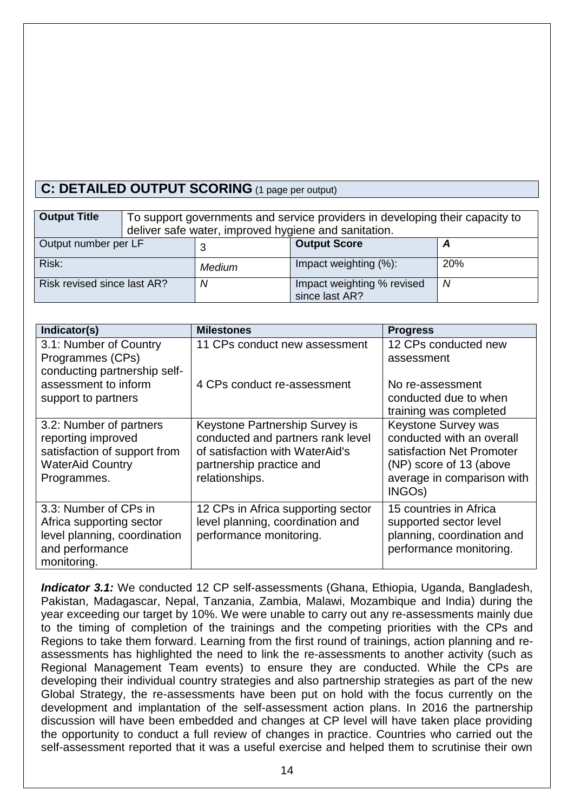# **C: DETAILED OUTPUT SCORING** (1 page per output)

| <b>Output Title</b>         | To support governments and service providers in developing their capacity to<br>deliver safe water, improved hygiene and sanitation. |               |                                              |            |
|-----------------------------|--------------------------------------------------------------------------------------------------------------------------------------|---------------|----------------------------------------------|------------|
| Output number per LF        |                                                                                                                                      |               | <b>Output Score</b>                          |            |
| Risk:                       |                                                                                                                                      | <b>Medium</b> | Impact weighting (%):                        | <b>20%</b> |
| Risk revised since last AR? |                                                                                                                                      | N             | Impact weighting % revised<br>since last AR? | Ν          |

| Indicator(s)                                            | <b>Milestones</b>                                           | <b>Progress</b>                                      |
|---------------------------------------------------------|-------------------------------------------------------------|------------------------------------------------------|
| 3.1: Number of Country                                  | 11 CPs conduct new assessment                               | 12 CPs conducted new                                 |
| Programmes (CPs)<br>conducting partnership self-        |                                                             | assessment                                           |
| assessment to inform                                    | 4 CPs conduct re-assessment                                 | No re-assessment                                     |
| support to partners                                     |                                                             | conducted due to when                                |
|                                                         |                                                             | training was completed                               |
| 3.2: Number of partners                                 | Keystone Partnership Survey is                              | Keystone Survey was                                  |
| reporting improved                                      | conducted and partners rank level                           | conducted with an overall                            |
| satisfaction of support from<br><b>WaterAid Country</b> | of satisfaction with WaterAid's<br>partnership practice and | satisfaction Net Promoter<br>(NP) score of 13 (above |
| Programmes.                                             | relationships.                                              | average in comparison with                           |
|                                                         |                                                             | INGO <sub>s</sub> )                                  |
| 3.3: Number of CPs in                                   | 12 CPs in Africa supporting sector                          | 15 countries in Africa                               |
| Africa supporting sector                                | level planning, coordination and                            | supported sector level                               |
| level planning, coordination                            | performance monitoring.                                     | planning, coordination and                           |
| and performance                                         |                                                             | performance monitoring.                              |
| monitoring.                                             |                                                             |                                                      |

*Indicator 3.1:* We conducted 12 CP self-assessments (Ghana, Ethiopia, Uganda, Bangladesh, Pakistan, Madagascar, Nepal, Tanzania, Zambia, Malawi, Mozambique and India) during the year exceeding our target by 10%. We were unable to carry out any re-assessments mainly due to the timing of completion of the trainings and the competing priorities with the CPs and Regions to take them forward. Learning from the first round of trainings, action planning and reassessments has highlighted the need to link the re-assessments to another activity (such as Regional Management Team events) to ensure they are conducted. While the CPs are developing their individual country strategies and also partnership strategies as part of the new Global Strategy, the re-assessments have been put on hold with the focus currently on the development and implantation of the self-assessment action plans. In 2016 the partnership discussion will have been embedded and changes at CP level will have taken place providing the opportunity to conduct a full review of changes in practice. Countries who carried out the self-assessment reported that it was a useful exercise and helped them to scrutinise their own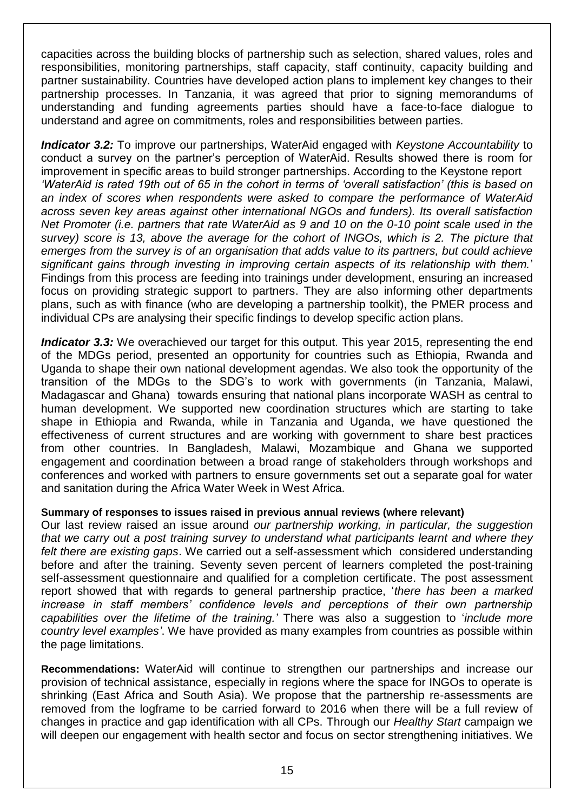capacities across the building blocks of partnership such as selection, shared values, roles and responsibilities, monitoring partnerships, staff capacity, staff continuity, capacity building and partner sustainability. Countries have developed action plans to implement key changes to their partnership processes. In Tanzania, it was agreed that prior to signing memorandums of understanding and funding agreements parties should have a face-to-face dialogue to understand and agree on commitments, roles and responsibilities between parties.

*Indicator 3.2:* To improve our partnerships, WaterAid engaged with *Keystone Accountability* to conduct a survey on the partner's perception of WaterAid. Results showed there is room for improvement in specific areas to build stronger partnerships. According to the Keystone report *'WaterAid is rated 19th out of 65 in the cohort in terms of 'overall satisfaction' (this is based on an index of scores when respondents were asked to compare the performance of WaterAid across seven key areas against other international NGOs and funders). Its overall satisfaction Net Promoter (i.e. partners that rate WaterAid as 9 and 10 on the 0-10 point scale used in the survey) score is 13, above the average for the cohort of INGOs, which is 2. The picture that emerges from the survey is of an organisation that adds value to its partners, but could achieve significant gains through investing in improving certain aspects of its relationship with them.*' Findings from this process are feeding into trainings under development, ensuring an increased focus on providing strategic support to partners. They are also informing other departments plans, such as with finance (who are developing a partnership toolkit), the PMER process and individual CPs are analysing their specific findings to develop specific action plans.

**Indicator 3.3:** We overachieved our target for this output. This year 2015, representing the end of the MDGs period, presented an opportunity for countries such as Ethiopia, Rwanda and Uganda to shape their own national development agendas. We also took the opportunity of the transition of the MDGs to the SDG's to work with governments (in Tanzania, Malawi, Madagascar and Ghana) towards ensuring that national plans incorporate WASH as central to human development. We supported new coordination structures which are starting to take shape in Ethiopia and Rwanda, while in Tanzania and Uganda, we have questioned the effectiveness of current structures and are working with government to share best practices from other countries. In Bangladesh, Malawi, Mozambique and Ghana we supported engagement and coordination between a broad range of stakeholders through workshops and conferences and worked with partners to ensure governments set out a separate goal for water and sanitation during the Africa Water Week in West Africa.

## **Summary of responses to issues raised in previous annual reviews (where relevant)**

Our last review raised an issue around *our partnership working, in particular, the suggestion that we carry out a post training survey to understand what participants learnt and where they felt there are existing gaps*. We carried out a self-assessment which considered understanding before and after the training. Seventy seven percent of learners completed the post-training self-assessment questionnaire and qualified for a completion certificate. The post assessment report showed that with regards to general partnership practice, '*there has been a marked*  increase in staff members' confidence levels and perceptions of their own partnership *capabilities over the lifetime of the training.'* There was also a suggestion to '*include more country level examples'*. We have provided as many examples from countries as possible within the page limitations.

**Recommendations:** WaterAid will continue to strengthen our partnerships and increase our provision of technical assistance, especially in regions where the space for INGOs to operate is shrinking (East Africa and South Asia). We propose that the partnership re-assessments are removed from the logframe to be carried forward to 2016 when there will be a full review of changes in practice and gap identification with all CPs. Through our *Healthy Start* campaign we will deepen our engagement with health sector and focus on sector strengthening initiatives. We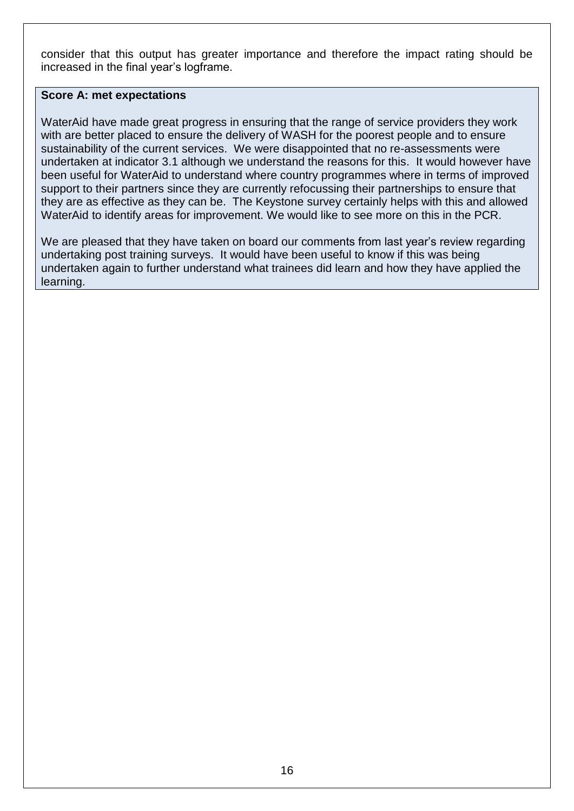consider that this output has greater importance and therefore the impact rating should be increased in the final year's logframe.

## **Score A: met expectations**

WaterAid have made great progress in ensuring that the range of service providers they work with are better placed to ensure the delivery of WASH for the poorest people and to ensure sustainability of the current services. We were disappointed that no re-assessments were undertaken at indicator 3.1 although we understand the reasons for this. It would however have been useful for WaterAid to understand where country programmes where in terms of improved support to their partners since they are currently refocussing their partnerships to ensure that they are as effective as they can be. The Keystone survey certainly helps with this and allowed WaterAid to identify areas for improvement. We would like to see more on this in the PCR.

We are pleased that they have taken on board our comments from last year's review regarding undertaking post training surveys. It would have been useful to know if this was being undertaken again to further understand what trainees did learn and how they have applied the learning.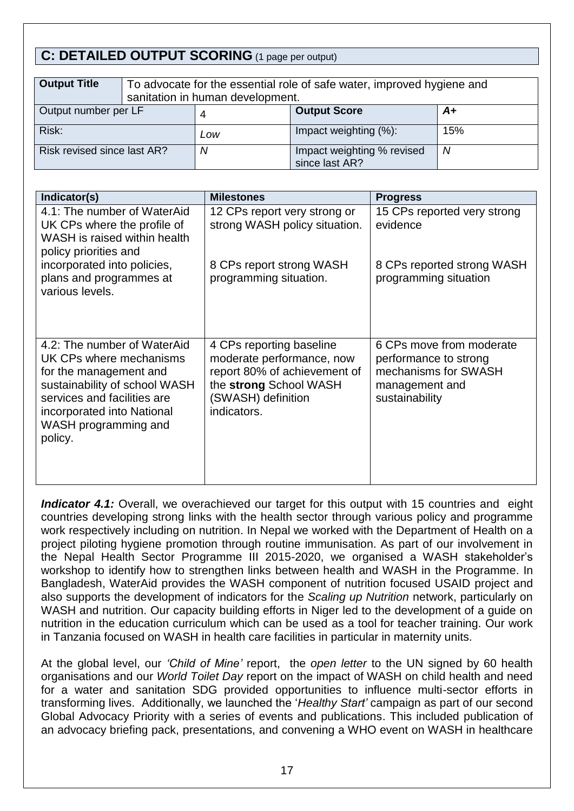# **C: DETAILED OUTPUT SCORING** (1 page per output)

| <b>Output Title</b>         | To advocate for the essential role of safe water, improved hygiene and<br>sanitation in human development. |     |                                              |     |
|-----------------------------|------------------------------------------------------------------------------------------------------------|-----|----------------------------------------------|-----|
|                             |                                                                                                            |     |                                              |     |
| Output number per LF        |                                                                                                            |     | <b>Output Score</b>                          | A+  |
| Risk:                       |                                                                                                            | Low | Impact weighting (%):                        | 15% |
| Risk revised since last AR? |                                                                                                            | Ν   | Impact weighting % revised<br>since last AR? | N   |

| Indicator(s)                                                                                                                                                                                                      | <b>Milestones</b>                                                                                                                                    | <b>Progress</b>                                                                                               |
|-------------------------------------------------------------------------------------------------------------------------------------------------------------------------------------------------------------------|------------------------------------------------------------------------------------------------------------------------------------------------------|---------------------------------------------------------------------------------------------------------------|
| 4.1: The number of WaterAid<br>UK CPs where the profile of<br>WASH is raised within health<br>policy priorities and                                                                                               | 12 CPs report very strong or<br>strong WASH policy situation.                                                                                        | 15 CPs reported very strong<br>evidence                                                                       |
| incorporated into policies,<br>plans and programmes at<br>various levels.                                                                                                                                         | 8 CPs report strong WASH<br>programming situation.                                                                                                   | 8 CPs reported strong WASH<br>programming situation                                                           |
| 4.2: The number of WaterAid<br>UK CPs where mechanisms<br>for the management and<br>sustainability of school WASH<br>services and facilities are<br>incorporated into National<br>WASH programming and<br>policy. | 4 CPs reporting baseline<br>moderate performance, now<br>report 80% of achievement of<br>the strong School WASH<br>(SWASH) definition<br>indicators. | 6 CPs move from moderate<br>performance to strong<br>mechanisms for SWASH<br>management and<br>sustainability |

**Indicator 4.1:** Overall, we overachieved our target for this output with 15 countries and eight countries developing strong links with the health sector through various policy and programme work respectively including on nutrition. In Nepal we worked with the Department of Health on a project piloting hygiene promotion through routine immunisation. As part of our involvement in the Nepal Health Sector Programme III 2015-2020, we organised a WASH stakeholder's workshop to identify how to strengthen links between health and WASH in the Programme. In Bangladesh, WaterAid provides the WASH component of nutrition focused USAID project and also supports the development of indicators for the *Scaling up Nutrition* network, particularly on WASH and nutrition. Our capacity building efforts in Niger led to the development of a guide on nutrition in the education curriculum which can be used as a tool for teacher training. Our work in Tanzania focused on WASH in health care facilities in particular in maternity units.

At the global level, our *'Child of Mine'* report, the *open letter* to the UN signed by 60 health organisations and our *World Toilet Day* report on the impact of WASH on child health and need for a water and sanitation SDG provided opportunities to influence multi-sector efforts in transforming lives. Additionally, we launched the '*Healthy Start'* campaign as part of our second Global Advocacy Priority with a series of events and publications. This included publication of an advocacy briefing pack, presentations, and convening a WHO event on WASH in healthcare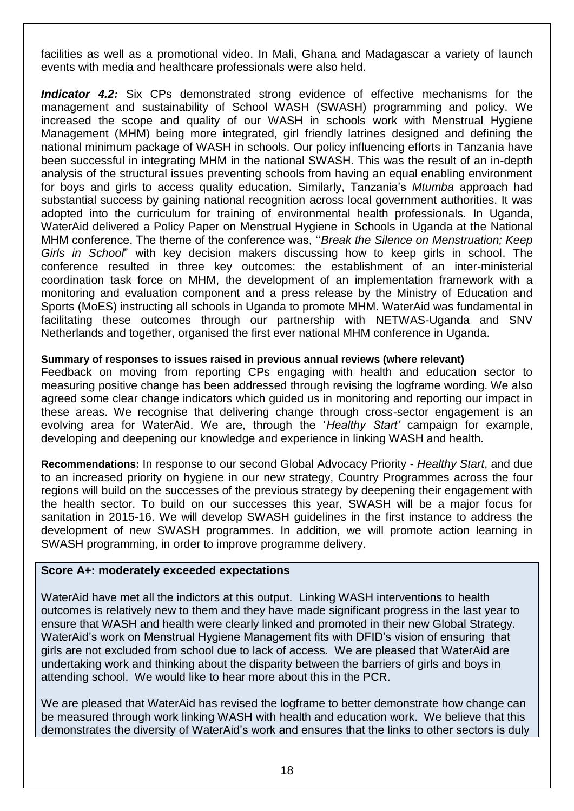facilities as well as a promotional video. In Mali, Ghana and Madagascar a variety of launch events with media and healthcare professionals were also held.

**Indicator 4.2:** Six CPs demonstrated strong evidence of effective mechanisms for the management and sustainability of School WASH (SWASH) programming and policy. We increased the scope and quality of our WASH in schools work with Menstrual Hygiene Management (MHM) being more integrated, girl friendly latrines designed and defining the national minimum package of WASH in schools. Our policy influencing efforts in Tanzania have been successful in integrating MHM in the national SWASH. This was the result of an in-depth analysis of the structural issues preventing schools from having an equal enabling environment for boys and girls to access quality education. Similarly, Tanzania's *Mtumba* approach had substantial success by gaining national recognition across local government authorities. It was adopted into the curriculum for training of environmental health professionals. In Uganda, WaterAid delivered a Policy Paper on Menstrual Hygiene in Schools in Uganda at the National MHM conference. The theme of the conference was, ''*Break the Silence on Menstruation; Keep Girls in School*" with key decision makers discussing how to keep girls in school. The conference resulted in three key outcomes: the establishment of an inter-ministerial coordination task force on MHM, the development of an implementation framework with a monitoring and evaluation component and a press release by the Ministry of Education and Sports (MoES) instructing all schools in Uganda to promote MHM. WaterAid was fundamental in facilitating these outcomes through our partnership with NETWAS-Uganda and SNV Netherlands and together, organised the first ever national MHM conference in Uganda.

## **Summary of responses to issues raised in previous annual reviews (where relevant)**

Feedback on moving from reporting CPs engaging with health and education sector to measuring positive change has been addressed through revising the logframe wording. We also agreed some clear change indicators which guided us in monitoring and reporting our impact in these areas. We recognise that delivering change through cross-sector engagement is an evolving area for WaterAid. We are, through the '*Healthy Start'* campaign for example, developing and deepening our knowledge and experience in linking WASH and health**.** 

**Recommendations:** In response to our second Global Advocacy Priority - *Healthy Start*, and due to an increased priority on hygiene in our new strategy, Country Programmes across the four regions will build on the successes of the previous strategy by deepening their engagement with the health sector. To build on our successes this year, SWASH will be a major focus for sanitation in 2015-16. We will develop SWASH guidelines in the first instance to address the development of new SWASH programmes. In addition, we will promote action learning in SWASH programming, in order to improve programme delivery.

## **Score A+: moderately exceeded expectations**

WaterAid have met all the indictors at this output. Linking WASH interventions to health outcomes is relatively new to them and they have made significant progress in the last year to ensure that WASH and health were clearly linked and promoted in their new Global Strategy. WaterAid's work on Menstrual Hygiene Management fits with DFID's vision of ensuring that girls are not excluded from school due to lack of access. We are pleased that WaterAid are undertaking work and thinking about the disparity between the barriers of girls and boys in attending school. We would like to hear more about this in the PCR.

We are pleased that WaterAid has revised the logframe to better demonstrate how change can be measured through work linking WASH with health and education work. We believe that this demonstrates the diversity of WaterAid's work and ensures that the links to other sectors is duly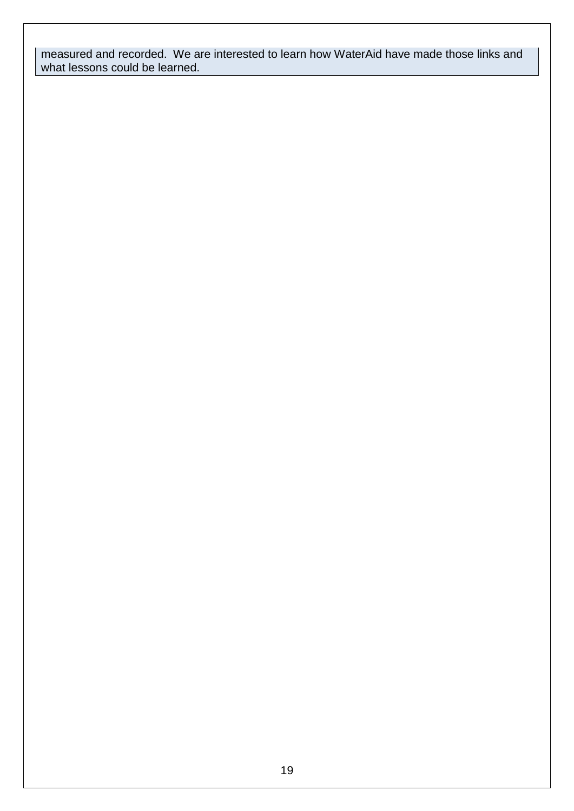measured and recorded. We are interested to learn how WaterAid have made those links and what lessons could be learned.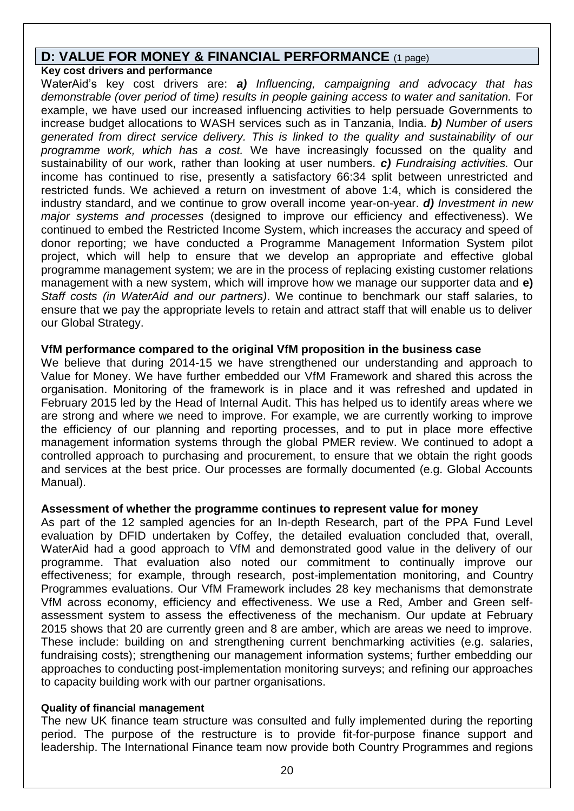## **D: VALUE FOR MONEY & FINANCIAL PERFORMANCE** (1 page)

## **Key cost drivers and performance**

WaterAid's key cost drivers are: *a) Influencing, campaigning and advocacy that has demonstrable (over period of time) results in people gaining access to water and sanitation.* For example, we have used our increased influencing activities to help persuade Governments to increase budget allocations to WASH services such as in Tanzania, India. *b) Number of users generated from direct service delivery. This is linked to the quality and sustainability of our programme work, which has a cost.* We have increasingly focussed on the quality and sustainability of our work, rather than looking at user numbers. *c) Fundraising activities.* Our income has continued to rise, presently a satisfactory 66:34 split between unrestricted and restricted funds. We achieved a return on investment of above 1:4, which is considered the industry standard, and we continue to grow overall income year-on-year. *d) Investment in new major systems and processes* (designed to improve our efficiency and effectiveness). We continued to embed the Restricted Income System, which increases the accuracy and speed of donor reporting; we have conducted a Programme Management Information System pilot project, which will help to ensure that we develop an appropriate and effective global programme management system; we are in the process of replacing existing customer relations management with a new system, which will improve how we manage our supporter data and **e)** *Staff costs (in WaterAid and our partners)*. We continue to benchmark our staff salaries, to ensure that we pay the appropriate levels to retain and attract staff that will enable us to deliver our Global Strategy.

## **VfM performance compared to the original VfM proposition in the business case**

We believe that during 2014-15 we have strengthened our understanding and approach to Value for Money. We have further embedded our VfM Framework and shared this across the organisation. Monitoring of the framework is in place and it was refreshed and updated in February 2015 led by the Head of Internal Audit. This has helped us to identify areas where we are strong and where we need to improve. For example, we are currently working to improve the efficiency of our planning and reporting processes, and to put in place more effective management information systems through the global PMER review. We continued to adopt a controlled approach to purchasing and procurement, to ensure that we obtain the right goods and services at the best price. Our processes are formally documented (e.g. Global Accounts Manual).

## **Assessment of whether the programme continues to represent value for money**

As part of the 12 sampled agencies for an In-depth Research, part of the PPA Fund Level evaluation by DFID undertaken by Coffey, the detailed evaluation concluded that, overall, WaterAid had a good approach to VfM and demonstrated good value in the delivery of our programme. That evaluation also noted our commitment to continually improve our effectiveness; for example, through research, post-implementation monitoring, and Country Programmes evaluations. Our VfM Framework includes 28 key mechanisms that demonstrate VfM across economy, efficiency and effectiveness. We use a Red, Amber and Green selfassessment system to assess the effectiveness of the mechanism. Our update at February 2015 shows that 20 are currently green and 8 are amber, which are areas we need to improve. These include: building on and strengthening current benchmarking activities (e.g. salaries, fundraising costs); strengthening our management information systems; further embedding our approaches to conducting post-implementation monitoring surveys; and refining our approaches to capacity building work with our partner organisations.

#### **Quality of financial management**

The new UK finance team structure was consulted and fully implemented during the reporting period. The purpose of the restructure is to provide fit-for-purpose finance support and leadership. The International Finance team now provide both Country Programmes and regions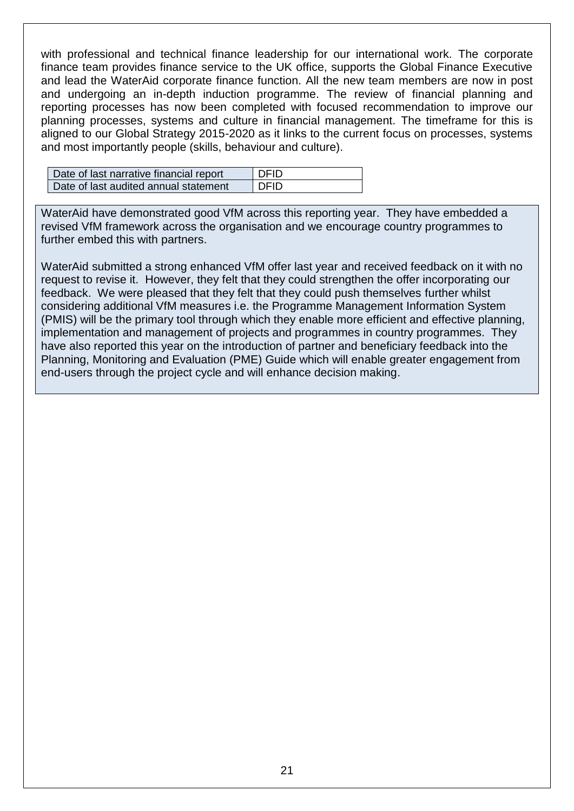with professional and technical finance leadership for our international work. The corporate finance team provides finance service to the UK office, supports the Global Finance Executive and lead the WaterAid corporate finance function. All the new team members are now in post and undergoing an in-depth induction programme. The review of financial planning and reporting processes has now been completed with focused recommendation to improve our planning processes, systems and culture in financial management. The timeframe for this is aligned to our Global Strategy 2015-2020 as it links to the current focus on processes, systems and most importantly people (skills, behaviour and culture).

| Date of last narrative financial report | <b>DEID</b> |
|-----------------------------------------|-------------|
| Date of last audited annual statement   | <b>DEID</b> |

WaterAid have demonstrated good VfM across this reporting year. They have embedded a revised VfM framework across the organisation and we encourage country programmes to further embed this with partners.

WaterAid submitted a strong enhanced VfM offer last year and received feedback on it with no request to revise it. However, they felt that they could strengthen the offer incorporating our feedback. We were pleased that they felt that they could push themselves further whilst considering additional VfM measures i.e. the Programme Management Information System (PMIS) will be the primary tool through which they enable more efficient and effective planning, implementation and management of projects and programmes in country programmes. They have also reported this year on the introduction of partner and beneficiary feedback into the Planning, Monitoring and Evaluation (PME) Guide which will enable greater engagement from end-users through the project cycle and will enhance decision making.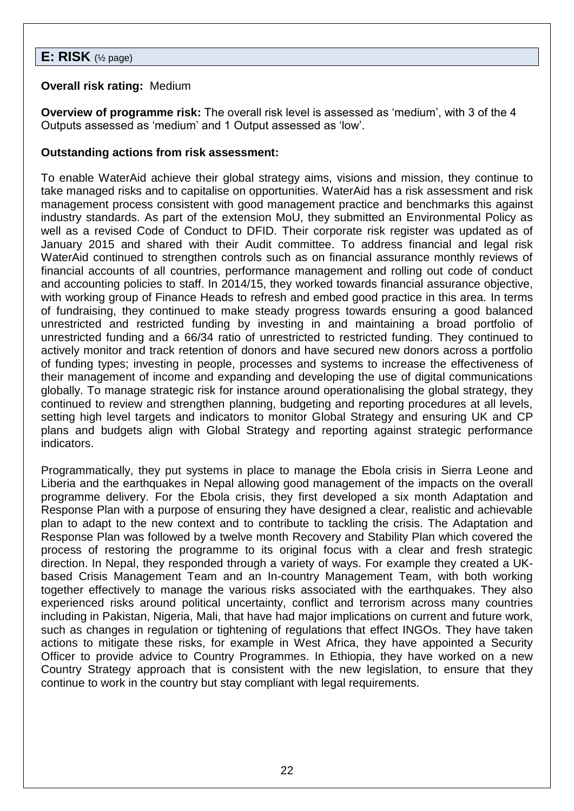# **E: RISK** (½ page)

## **Overall risk rating:** Medium

**Overview of programme risk:** The overall risk level is assessed as 'medium', with 3 of the 4 Outputs assessed as 'medium' and 1 Output assessed as 'low'.

## **Outstanding actions from risk assessment:**

To enable WaterAid achieve their global strategy aims, visions and mission, they continue to take managed risks and to capitalise on opportunities. WaterAid has a risk assessment and risk management process consistent with good management practice and benchmarks this against industry standards. As part of the extension MoU, they submitted an Environmental Policy as well as a revised Code of Conduct to DFID. Their corporate risk register was updated as of January 2015 and shared with their Audit committee. To address financial and legal risk WaterAid continued to strengthen controls such as on financial assurance monthly reviews of financial accounts of all countries, performance management and rolling out code of conduct and accounting policies to staff. In 2014/15, they worked towards financial assurance objective, with working group of Finance Heads to refresh and embed good practice in this area. In terms of fundraising, they continued to make steady progress towards ensuring a good balanced unrestricted and restricted funding by investing in and maintaining a broad portfolio of unrestricted funding and a 66/34 ratio of unrestricted to restricted funding. They continued to actively monitor and track retention of donors and have secured new donors across a portfolio of funding types; investing in people, processes and systems to increase the effectiveness of their management of income and expanding and developing the use of digital communications globally. To manage strategic risk for instance around operationalising the global strategy, they continued to review and strengthen planning, budgeting and reporting procedures at all levels, setting high level targets and indicators to monitor Global Strategy and ensuring UK and CP plans and budgets align with Global Strategy and reporting against strategic performance indicators.

Programmatically, they put systems in place to manage the Ebola crisis in Sierra Leone and Liberia and the earthquakes in Nepal allowing good management of the impacts on the overall programme delivery. For the Ebola crisis, they first developed a six month Adaptation and Response Plan with a purpose of ensuring they have designed a clear, realistic and achievable plan to adapt to the new context and to contribute to tackling the crisis. The Adaptation and Response Plan was followed by a twelve month Recovery and Stability Plan which covered the process of restoring the programme to its original focus with a clear and fresh strategic direction. In Nepal, they responded through a variety of ways. For example they created a UKbased Crisis Management Team and an In-country Management Team, with both working together effectively to manage the various risks associated with the earthquakes. They also experienced risks around political uncertainty, conflict and terrorism across many countries including in Pakistan, Nigeria, Mali, that have had major implications on current and future work, such as changes in regulation or tightening of regulations that effect INGOs. They have taken actions to mitigate these risks, for example in West Africa, they have appointed a Security Officer to provide advice to Country Programmes. In Ethiopia, they have worked on a new Country Strategy approach that is consistent with the new legislation, to ensure that they continue to work in the country but stay compliant with legal requirements.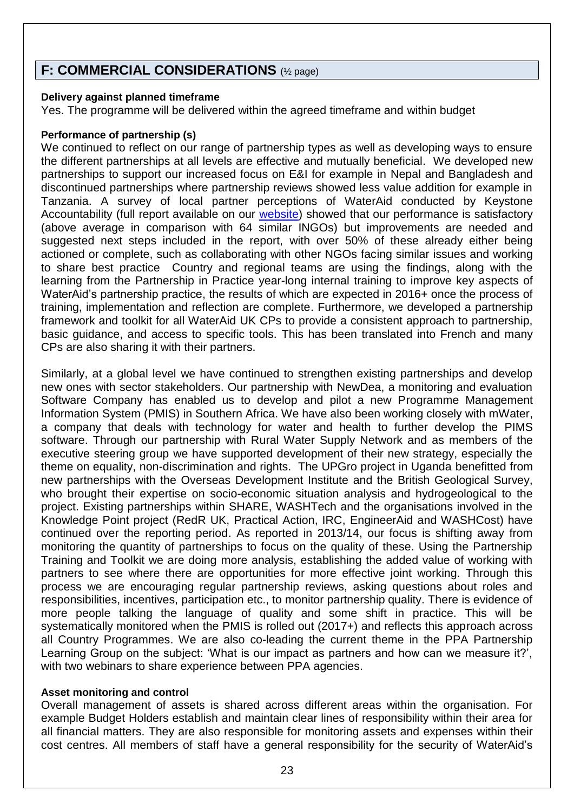# **F: COMMERCIAL CONSIDERATIONS** (½ page)

## **Delivery against planned timeframe**

Yes. The programme will be delivered within the agreed timeframe and within budget

#### **Performance of partnership (s)**

We continued to reflect on our range of partnership types as well as developing ways to ensure the different partnerships at all levels are effective and mutually beneficial. We developed new partnerships to support our increased focus on E&I for example in Nepal and Bangladesh and discontinued partnerships where partnership reviews showed less value addition for example in Tanzania. A survey of local partner perceptions of WaterAid conducted by Keystone Accountability (full report available on our [website\)](http://www.wateraid.org/what-we-do/our-approach/research-and-publications/view-publication?id=94b392e1-e029-4964-a8a1-72c3cb8b1093) showed that our performance is satisfactory (above average in comparison with 64 similar INGOs) but improvements are needed and suggested next steps included in the report, with over 50% of these already either being actioned or complete, such as collaborating with other NGOs facing similar issues and working to share best practice Country and regional teams are using the findings, along with the learning from the Partnership in Practice year-long internal training to improve key aspects of WaterAid's partnership practice, the results of which are expected in 2016+ once the process of training, implementation and reflection are complete. Furthermore, we developed a partnership framework and toolkit for all WaterAid UK CPs to provide a consistent approach to partnership, basic guidance, and access to specific tools. This has been translated into French and many CPs are also sharing it with their partners.

Similarly, at a global level we have continued to strengthen existing partnerships and develop new ones with sector stakeholders. Our partnership with NewDea, a monitoring and evaluation Software Company has enabled us to develop and pilot a new Programme Management Information System (PMIS) in Southern Africa. We have also been working closely with mWater, a company that deals with technology for water and health to further develop the PIMS software. Through our partnership with Rural Water Supply Network and as members of the executive steering group we have supported development of their new strategy, especially the theme on equality, non-discrimination and rights. The UPGro project in Uganda benefitted from new partnerships with the Overseas Development Institute and the British Geological Survey, who brought their expertise on socio-economic situation analysis and hydrogeological to the project. Existing partnerships within SHARE, WASHTech and the organisations involved in the Knowledge Point project (RedR UK, Practical Action, IRC, EngineerAid and WASHCost) have continued over the reporting period. As reported in 2013/14, our focus is shifting away from monitoring the quantity of partnerships to focus on the quality of these. Using the Partnership Training and Toolkit we are doing more analysis, establishing the added value of working with partners to see where there are opportunities for more effective joint working. Through this process we are encouraging regular partnership reviews, asking questions about roles and responsibilities, incentives, participation etc., to monitor partnership quality. There is evidence of more people talking the language of quality and some shift in practice. This will be systematically monitored when the PMIS is rolled out (2017+) and reflects this approach across all Country Programmes. We are also co-leading the current theme in the PPA Partnership Learning Group on the subject: 'What is our impact as partners and how can we measure it?', with two webinars to share experience between PPA agencies.

## **Asset monitoring and control**

Overall management of assets is shared across different areas within the organisation. For example Budget Holders establish and maintain clear lines of responsibility within their area for all financial matters. They are also responsible for monitoring assets and expenses within their cost centres. All members of staff have a general responsibility for the security of WaterAid's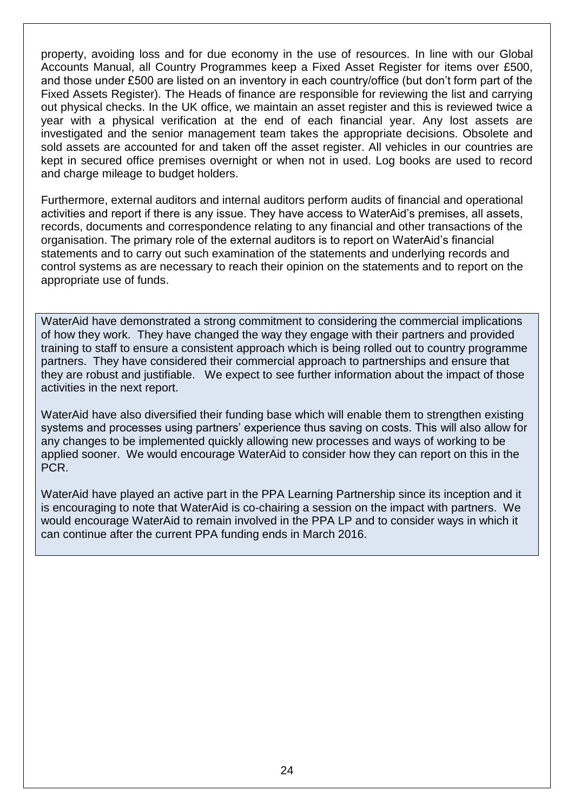property, avoiding loss and for due economy in the use of resources. In line with our Global Accounts Manual, all Country Programmes keep a Fixed Asset Register for items over £500, and those under £500 are listed on an inventory in each country/office (but don't form part of the Fixed Assets Register). The Heads of finance are responsible for reviewing the list and carrying out physical checks. In the UK office, we maintain an asset register and this is reviewed twice a year with a physical verification at the end of each financial year. Any lost assets are investigated and the senior management team takes the appropriate decisions. Obsolete and sold assets are accounted for and taken off the asset register. All vehicles in our countries are kept in secured office premises overnight or when not in used. Log books are used to record and charge mileage to budget holders.

Furthermore, external auditors and internal auditors perform audits of financial and operational activities and report if there is any issue. They have access to WaterAid's premises, all assets, records, documents and correspondence relating to any financial and other transactions of the organisation. The primary role of the external auditors is to report on WaterAid's financial statements and to carry out such examination of the statements and underlying records and control systems as are necessary to reach their opinion on the statements and to report on the appropriate use of funds.

WaterAid have demonstrated a strong commitment to considering the commercial implications of how they work. They have changed the way they engage with their partners and provided training to staff to ensure a consistent approach which is being rolled out to country programme partners. They have considered their commercial approach to partnerships and ensure that they are robust and justifiable. We expect to see further information about the impact of those activities in the next report.

WaterAid have also diversified their funding base which will enable them to strengthen existing systems and processes using partners' experience thus saving on costs. This will also allow for any changes to be implemented quickly allowing new processes and ways of working to be applied sooner. We would encourage WaterAid to consider how they can report on this in the PCR.

WaterAid have played an active part in the PPA Learning Partnership since its inception and it is encouraging to note that WaterAid is co-chairing a session on the impact with partners. We would encourage WaterAid to remain involved in the PPA LP and to consider ways in which it can continue after the current PPA funding ends in March 2016.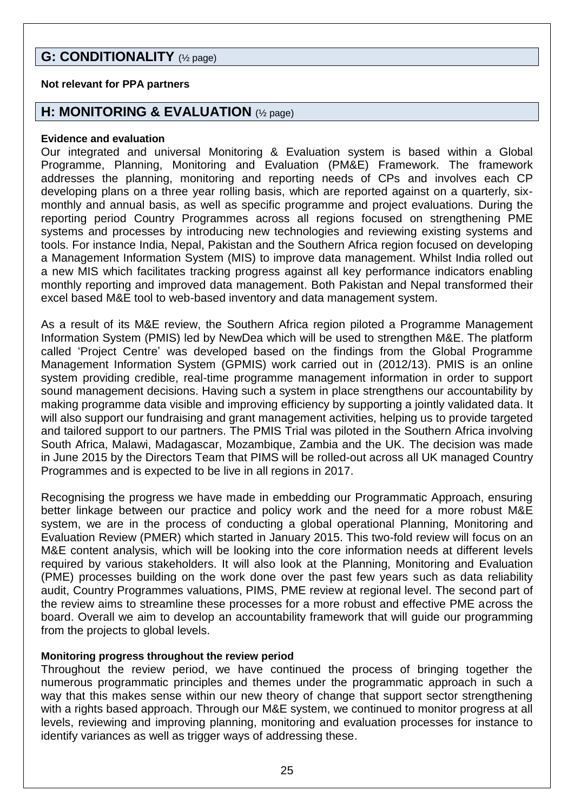# **G: CONDITIONALITY** (½ page)

## **Not relevant for PPA partners**

## **H: MONITORING & EVALUATION** (½ page)

#### **Evidence and evaluation**

Our integrated and universal Monitoring & Evaluation system is based within a Global Programme, Planning, Monitoring and Evaluation (PM&E) Framework. The framework addresses the planning, monitoring and reporting needs of CPs and involves each CP developing plans on a three year rolling basis, which are reported against on a quarterly, sixmonthly and annual basis, as well as specific programme and project evaluations. During the reporting period Country Programmes across all regions focused on strengthening PME systems and processes by introducing new technologies and reviewing existing systems and tools. For instance India, Nepal, Pakistan and the Southern Africa region focused on developing a Management Information System (MIS) to improve data management. Whilst India rolled out a new MIS which facilitates tracking progress against all key performance indicators enabling monthly reporting and improved data management. Both Pakistan and Nepal transformed their excel based M&E tool to web-based inventory and data management system.

As a result of its M&E review, the Southern Africa region piloted a Programme Management Information System (PMIS) led by NewDea which will be used to strengthen M&E. The platform called 'Project Centre' was developed based on the findings from the Global Programme Management Information System (GPMIS) work carried out in (2012/13). PMIS is an online system providing credible, real-time programme management information in order to support sound management decisions. Having such a system in place strengthens our accountability by making programme data visible and improving efficiency by supporting a jointly validated data. It will also support our fundraising and grant management activities, helping us to provide targeted and tailored support to our partners. The PMIS Trial was piloted in the Southern Africa involving South Africa, Malawi, Madagascar, Mozambique, Zambia and the UK. The decision was made in June 2015 by the Directors Team that PIMS will be rolled-out across all UK managed Country Programmes and is expected to be live in all regions in 2017.

Recognising the progress we have made in embedding our Programmatic Approach, ensuring better linkage between our practice and policy work and the need for a more robust M&E system, we are in the process of conducting a global operational Planning, Monitoring and Evaluation Review (PMER) which started in January 2015. This two-fold review will focus on an M&E content analysis, which will be looking into the core information needs at different levels required by various stakeholders. It will also look at the Planning, Monitoring and Evaluation (PME) processes building on the work done over the past few years such as data reliability audit, Country Programmes valuations, PIMS, PME review at regional level. The second part of the review aims to streamline these processes for a more robust and effective PME across the board. Overall we aim to develop an accountability framework that will guide our programming from the projects to global levels.

## **Monitoring progress throughout the review period**

Throughout the review period, we have continued the process of bringing together the numerous programmatic principles and themes under the programmatic approach in such a way that this makes sense within our new theory of change that support sector strengthening with a rights based approach. Through our M&E system, we continued to monitor progress at all levels, reviewing and improving planning, monitoring and evaluation processes for instance to identify variances as well as trigger ways of addressing these.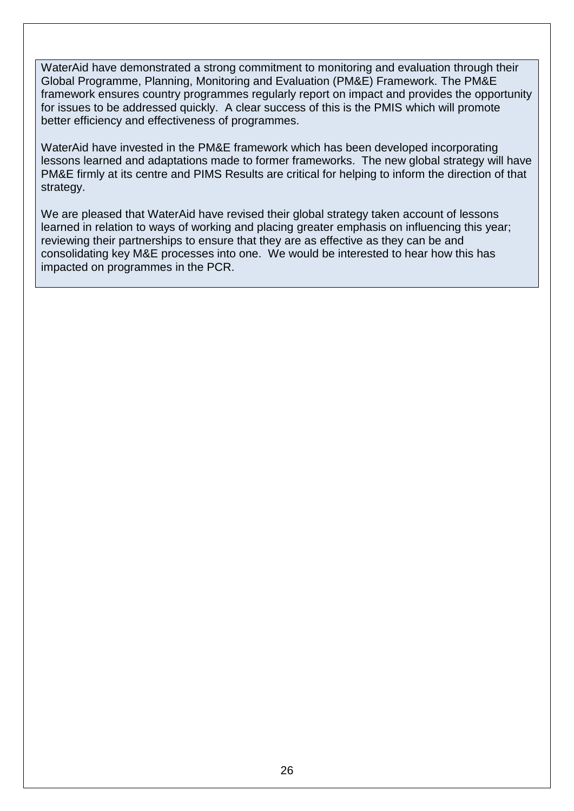WaterAid have demonstrated a strong commitment to monitoring and evaluation through their Global Programme, Planning, Monitoring and Evaluation (PM&E) Framework. The PM&E framework ensures country programmes regularly report on impact and provides the opportunity for issues to be addressed quickly. A clear success of this is the PMIS which will promote better efficiency and effectiveness of programmes.

WaterAid have invested in the PM&E framework which has been developed incorporating lessons learned and adaptations made to former frameworks. The new global strategy will have PM&E firmly at its centre and PIMS Results are critical for helping to inform the direction of that strategy.

We are pleased that WaterAid have revised their global strategy taken account of lessons learned in relation to ways of working and placing greater emphasis on influencing this year; reviewing their partnerships to ensure that they are as effective as they can be and consolidating key M&E processes into one. We would be interested to hear how this has impacted on programmes in the PCR.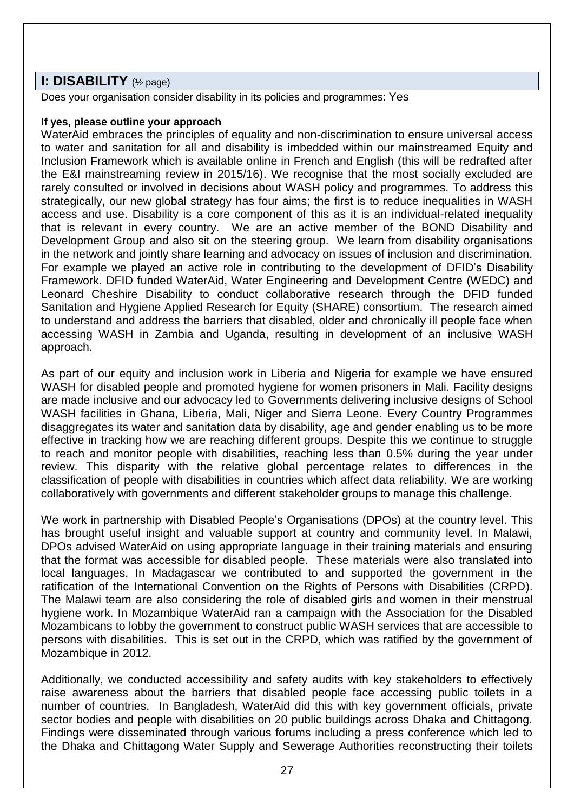# **I: DISABILITY** (½ page)

Does your organisation consider disability in its policies and programmes: Yes

#### **If yes, please outline your approach**

WaterAid embraces the principles of equality and non-discrimination to ensure universal access to water and sanitation for all and disability is imbedded within our mainstreamed Equity and Inclusion Framework which is available online in French and English (this will be redrafted after the E&I mainstreaming review in 2015/16). We recognise that the most socially excluded are rarely consulted or involved in decisions about WASH policy and programmes. To address this strategically, our new global strategy has four aims; the first is to reduce inequalities in WASH access and use. Disability is a core component of this as it is an individual-related inequality that is relevant in every country. We are an active member of the BOND Disability and Development Group and also sit on the steering group. We learn from disability organisations in the network and jointly share learning and advocacy on issues of inclusion and discrimination. For example we played an active role in contributing to the development of DFID's Disability Framework. DFID funded WaterAid, Water Engineering and Development Centre (WEDC) and Leonard Cheshire Disability to conduct collaborative research through the DFID funded Sanitation and Hygiene Applied Research for Equity (SHARE) consortium. The research aimed to understand and address the barriers that disabled, older and chronically ill people face when accessing WASH in Zambia and Uganda, resulting in development of an inclusive WASH approach.

As part of our equity and inclusion work in Liberia and Nigeria for example we have ensured WASH for disabled people and promoted hygiene for women prisoners in Mali. Facility designs are made inclusive and our advocacy led to Governments delivering inclusive designs of School WASH facilities in Ghana, Liberia, Mali, Niger and Sierra Leone. Every Country Programmes disaggregates its water and sanitation data by disability, age and gender enabling us to be more effective in tracking how we are reaching different groups. Despite this we continue to struggle to reach and monitor people with disabilities, reaching less than 0.5% during the year under review. This disparity with the relative global percentage relates to differences in the classification of people with disabilities in countries which affect data reliability. We are working collaboratively with governments and different stakeholder groups to manage this challenge.

We work in partnership with Disabled People's Organisations (DPOs) at the country level. This has brought useful insight and valuable support at country and community level. In Malawi, DPOs advised WaterAid on using appropriate language in their training materials and ensuring that the format was accessible for disabled people. These materials were also translated into local languages. In Madagascar we contributed to and supported the government in the ratification of the International Convention on the Rights of Persons with Disabilities (CRPD). The Malawi team are also considering the role of disabled girls and women in their menstrual hygiene work. In Mozambique WaterAid ran a campaign with the Association for the Disabled Mozambicans to lobby the government to construct public WASH services that are accessible to persons with disabilities. This is set out in the CRPD, which was ratified by the government of Mozambique in 2012.

Additionally, we conducted accessibility and safety audits with key stakeholders to effectively raise awareness about the barriers that disabled people face accessing public toilets in a number of countries. In Bangladesh, WaterAid did this with key government officials, private sector bodies and people with disabilities on 20 public buildings across Dhaka and Chittagong. Findings were disseminated through various forums including a press conference which led to the Dhaka and Chittagong Water Supply and Sewerage Authorities reconstructing their toilets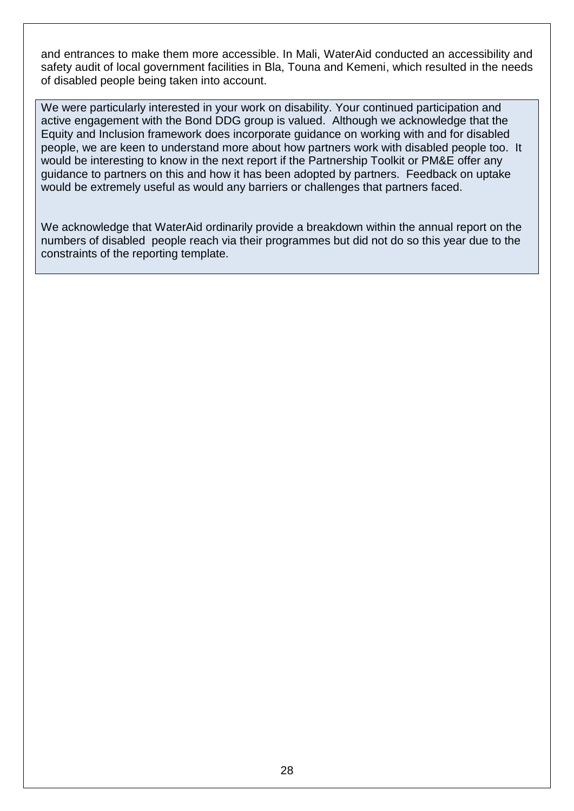and entrances to make them more accessible. In Mali, WaterAid conducted an accessibility and safety audit of local government facilities in Bla, Touna and Kemeni, which resulted in the needs of disabled people being taken into account.

We were particularly interested in your work on disability. Your continued participation and active engagement with the Bond DDG group is valued. Although we acknowledge that the Equity and Inclusion framework does incorporate guidance on working with and for disabled people, we are keen to understand more about how partners work with disabled people too. It would be interesting to know in the next report if the Partnership Toolkit or PM&E offer any guidance to partners on this and how it has been adopted by partners. Feedback on uptake would be extremely useful as would any barriers or challenges that partners faced.

We acknowledge that WaterAid ordinarily provide a breakdown within the annual report on the numbers of disabled people reach via their programmes but did not do so this year due to the constraints of the reporting template.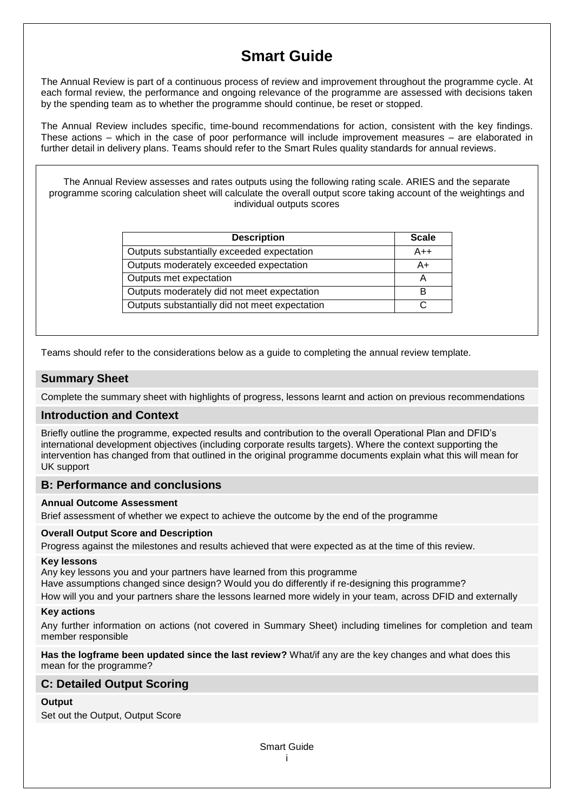# **Smart Guide**

The Annual Review is part of a continuous process of review and improvement throughout the programme cycle. At each formal review, the performance and ongoing relevance of the programme are assessed with decisions taken by the spending team as to whether the programme should continue, be reset or stopped.

The Annual Review includes specific, time-bound recommendations for action, consistent with the key findings. These actions – which in the case of poor performance will include improvement measures – are elaborated in further detail in delivery plans. Teams should refer to the Smart Rules quality standards for annual reviews.

The Annual Review assesses and rates outputs using the following rating scale. ARIES and the separate programme scoring calculation sheet will calculate the overall output score taking account of the weightings and individual outputs scores

| <b>Description</b>                             | <b>Scale</b> |
|------------------------------------------------|--------------|
| Outputs substantially exceeded expectation     | A++          |
| Outputs moderately exceeded expectation        | A+           |
| Outputs met expectation                        |              |
| Outputs moderately did not meet expectation    | в            |
| Outputs substantially did not meet expectation |              |

Teams should refer to the considerations below as a guide to completing the annual review template.

#### **Summary Sheet**

Complete the summary sheet with highlights of progress, lessons learnt and action on previous recommendations

#### **Introduction and Context**

Briefly outline the programme, expected results and contribution to the overall Operational Plan and DFID's international development objectives (including corporate results targets). Where the context supporting the intervention has changed from that outlined in the original programme documents explain what this will mean for UK support

#### **B: Performance and conclusions**

#### **Annual Outcome Assessment**

Brief assessment of whether we expect to achieve the outcome by the end of the programme

#### **Overall Output Score and Description**

Progress against the milestones and results achieved that were expected as at the time of this review.

#### **Key lessons**

Any key lessons you and your partners have learned from this programme Have assumptions changed since design? Would you do differently if re-designing this programme? How will you and your partners share the lessons learned more widely in your team, across DFID and externally

#### **Key actions**

Any further information on actions (not covered in Summary Sheet) including timelines for completion and team member responsible

**Has the logframe been updated since the last review?** What/if any are the key changes and what does this mean for the programme?

#### **C: Detailed Output Scoring**

#### **Output**

Set out the Output, Output Score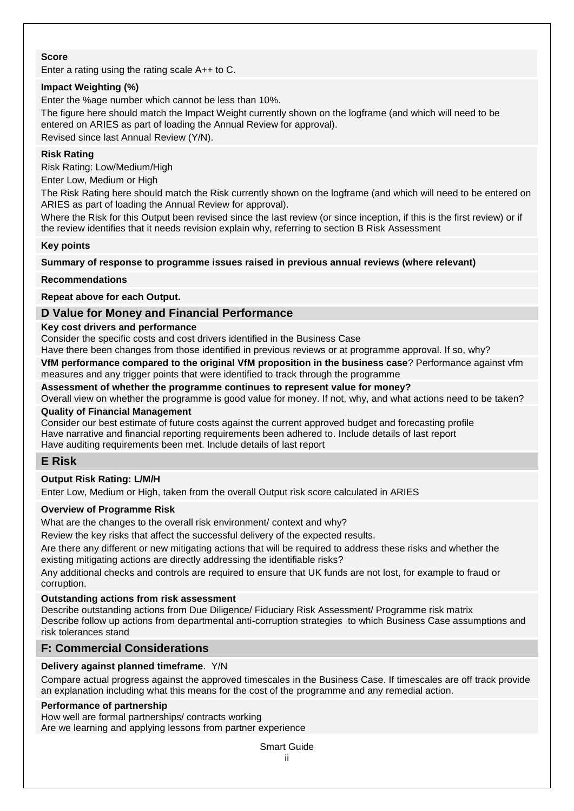#### **Score**

Enter a rating using the rating scale A++ to C.

#### **Impact Weighting (%)**

Enter the %age number which cannot be less than 10%. The figure here should match the Impact Weight currently shown on the logframe (and which will need to be entered on ARIES as part of loading the Annual Review for approval). Revised since last Annual Review (Y/N).

#### **Risk Rating**

Risk Rating: Low/Medium/High

Enter Low, Medium or High

The Risk Rating here should match the Risk currently shown on the logframe (and which will need to be entered on ARIES as part of loading the Annual Review for approval).

Where the Risk for this Output been revised since the last review (or since inception, if this is the first review) or if the review identifies that it needs revision explain why, referring to section B Risk Assessment

#### **Key points**

#### **Summary of response to programme issues raised in previous annual reviews (where relevant)**

#### **Recommendations**

**Repeat above for each Output.**

#### **D Value for Money and Financial Performance**

#### **Key cost drivers and performance**

Consider the specific costs and cost drivers identified in the Business Case

Have there been changes from those identified in previous reviews or at programme approval. If so, why?

**VfM performance compared to the original VfM proposition in the business case**? Performance against vfm measures and any trigger points that were identified to track through the programme

#### **Assessment of whether the programme continues to represent value for money?**

Overall view on whether the programme is good value for money. If not, why, and what actions need to be taken? **Quality of Financial Management**

Consider our best estimate of future costs against the current approved budget and forecasting profile Have narrative and financial reporting requirements been adhered to. Include details of last report Have auditing requirements been met. Include details of last report

#### **E Risk**

#### **Output Risk Rating: L/M/H**

Enter Low, Medium or High, taken from the overall Output risk score calculated in ARIES

#### **Overview of Programme Risk**

What are the changes to the overall risk environment/ context and why?

Review the key risks that affect the successful delivery of the expected results.

Are there any different or new mitigating actions that will be required to address these risks and whether the existing mitigating actions are directly addressing the identifiable risks?

Any additional checks and controls are required to ensure that UK funds are not lost, for example to fraud or corruption.

#### **Outstanding actions from risk assessment**

Describe outstanding actions from Due Diligence/ Fiduciary Risk Assessment/ Programme risk matrix Describe follow up actions from departmental anti-corruption strategies to which Business Case assumptions and risk tolerances stand

#### **F: Commercial Considerations**

#### **Delivery against planned timeframe**. Y/N

Compare actual progress against the approved timescales in the Business Case. If timescales are off track provide an explanation including what this means for the cost of the programme and any remedial action.

#### **Performance of partnership**

How well are formal partnerships/ contracts working Are we learning and applying lessons from partner experience